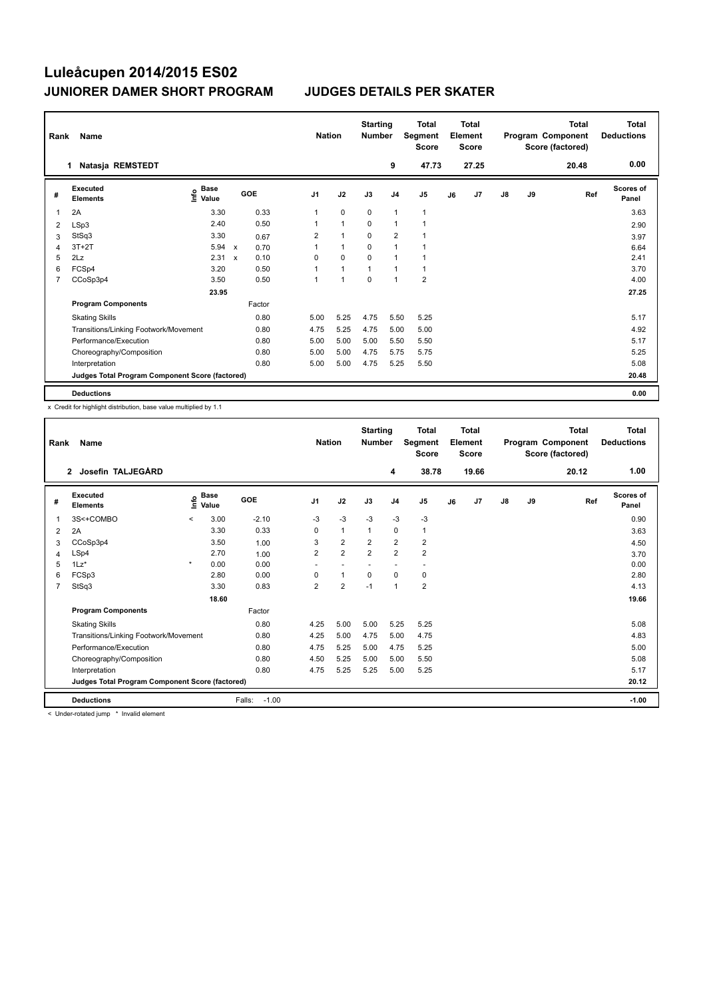| Rank           | Name                                            |                                    |              |        |                | <b>Nation</b> |                | <b>Starting</b><br><b>Number</b> |                | <b>Total</b><br>Segment<br><b>Score</b> |    | <b>Total</b><br>Element<br><b>Score</b> |               |    | <b>Total</b><br>Program Component<br>Score (factored) | <b>Total</b><br><b>Deductions</b> |
|----------------|-------------------------------------------------|------------------------------------|--------------|--------|----------------|---------------|----------------|----------------------------------|----------------|-----------------------------------------|----|-----------------------------------------|---------------|----|-------------------------------------------------------|-----------------------------------|
|                | Natasja REMSTEDT<br>1                           |                                    |              |        |                |               |                |                                  | 9              | 47.73                                   |    | 27.25                                   |               |    | 20.48                                                 | 0.00                              |
| #              | Executed<br><b>Elements</b>                     | <b>Base</b><br>$\frac{6}{5}$ Value |              | GOE    | J <sub>1</sub> |               | J2             | J3                               | J <sub>4</sub> | J <sub>5</sub>                          | J6 | J7                                      | $\mathsf{J}8$ | J9 | Ref                                                   | <b>Scores of</b><br>Panel         |
| 1              | 2A                                              | 3.30                               |              | 0.33   | 1              |               | $\mathbf 0$    | 0                                | $\mathbf{1}$   | 1                                       |    |                                         |               |    |                                                       | 3.63                              |
| 2              | LSp3                                            | 2.40                               |              | 0.50   |                |               | $\overline{1}$ | $\Omega$                         | $\mathbf{1}$   |                                         |    |                                         |               |    |                                                       | 2.90                              |
| 3              | StSq3                                           | 3.30                               |              | 0.67   | 2              |               | 1              | $\mathbf 0$                      | $\overline{2}$ |                                         |    |                                         |               |    |                                                       | 3.97                              |
| 4              | $3T+2T$                                         | 5.94                               | $\mathsf{x}$ | 0.70   |                |               | $\mathbf{1}$   | $\mathbf 0$                      | $\mathbf{1}$   |                                         |    |                                         |               |    |                                                       | 6.64                              |
| 5              | 2Lz                                             | 2.31                               | $\mathsf{x}$ | 0.10   | $\Omega$       |               | 0              | $\Omega$                         | $\overline{1}$ |                                         |    |                                         |               |    |                                                       | 2.41                              |
| 6              | FCSp4                                           | 3.20                               |              | 0.50   |                |               | $\mathbf{1}$   | 1                                | $\mathbf{1}$   | $\mathbf{1}$                            |    |                                         |               |    |                                                       | 3.70                              |
| $\overline{7}$ | CCoSp3p4                                        | 3.50                               |              | 0.50   | $\mathbf{1}$   |               | $\overline{1}$ | $\mathbf 0$                      | $\mathbf{1}$   | $\overline{2}$                          |    |                                         |               |    |                                                       | 4.00                              |
|                |                                                 | 23.95                              |              |        |                |               |                |                                  |                |                                         |    |                                         |               |    |                                                       | 27.25                             |
|                | <b>Program Components</b>                       |                                    |              | Factor |                |               |                |                                  |                |                                         |    |                                         |               |    |                                                       |                                   |
|                | <b>Skating Skills</b>                           |                                    |              | 0.80   | 5.00           |               | 5.25           | 4.75                             | 5.50           | 5.25                                    |    |                                         |               |    |                                                       | 5.17                              |
|                | Transitions/Linking Footwork/Movement           |                                    |              | 0.80   | 4.75           |               | 5.25           | 4.75                             | 5.00           | 5.00                                    |    |                                         |               |    |                                                       | 4.92                              |
|                | Performance/Execution                           |                                    |              | 0.80   | 5.00           |               | 5.00           | 5.00                             | 5.50           | 5.50                                    |    |                                         |               |    |                                                       | 5.17                              |
|                | Choreography/Composition                        |                                    |              | 0.80   | 5.00           |               | 5.00           | 4.75                             | 5.75           | 5.75                                    |    |                                         |               |    |                                                       | 5.25                              |
|                | Interpretation                                  |                                    |              | 0.80   | 5.00           |               | 5.00           | 4.75                             | 5.25           | 5.50                                    |    |                                         |               |    |                                                       | 5.08                              |
|                | Judges Total Program Component Score (factored) |                                    |              |        |                |               |                |                                  |                |                                         |    |                                         |               |    |                                                       | 20.48                             |
|                | <b>Deductions</b>                               |                                    |              |        |                |               |                |                                  |                |                                         |    |                                         |               |    |                                                       | 0.00                              |

x Credit for highlight distribution, base value multiplied by 1.1

| Rank           | Name                                            |         |                      |                   | <b>Nation</b>  |                | <b>Starting</b><br><b>Number</b> |                          | <b>Total</b><br>Segment<br><b>Score</b> |    | <b>Total</b><br>Element<br><b>Score</b> |               |    | <b>Total</b><br>Program Component<br>Score (factored) | <b>Total</b><br><b>Deductions</b> |
|----------------|-------------------------------------------------|---------|----------------------|-------------------|----------------|----------------|----------------------------------|--------------------------|-----------------------------------------|----|-----------------------------------------|---------------|----|-------------------------------------------------------|-----------------------------------|
|                | Josefin TALJEGÅRD<br>$\overline{2}$             |         |                      |                   |                |                |                                  | 4                        | 38.78                                   |    | 19.66                                   |               |    | 20.12                                                 | 1.00                              |
| #              | Executed<br><b>Elements</b>                     | ۴o      | <b>Base</b><br>Value | GOE               | J <sub>1</sub> | J2             | J3                               | J <sub>4</sub>           | J <sub>5</sub>                          | J6 | J7                                      | $\mathsf{J}8$ | J9 | Ref                                                   | Scores of<br>Panel                |
| 1              | 3S<+COMBO                                       | $\prec$ | 3.00                 | $-2.10$           | $-3$           | $-3$           | $-3$                             | $-3$                     | $-3$                                    |    |                                         |               |    |                                                       | 0.90                              |
| 2              | 2A                                              |         | 3.30                 | 0.33              | 0              | $\mathbf{1}$   | 1                                | $\mathbf 0$              | 1                                       |    |                                         |               |    |                                                       | 3.63                              |
| 3              | CCoSp3p4                                        |         | 3.50                 | 1.00              | 3              | $\overline{2}$ | $\overline{2}$                   | $\overline{2}$           | $\overline{\mathbf{c}}$                 |    |                                         |               |    |                                                       | 4.50                              |
| 4              | LSp4                                            |         | 2.70                 | 1.00              | $\overline{2}$ | $\overline{2}$ | 2                                | $\overline{2}$           | $\overline{\mathbf{c}}$                 |    |                                         |               |    |                                                       | 3.70                              |
| 5              | $1\text{Lz}^*$                                  | $\star$ | 0.00                 | 0.00              |                |                |                                  | $\overline{\phantom{a}}$ |                                         |    |                                         |               |    |                                                       | 0.00                              |
| 6              | FCSp3                                           |         | 2.80                 | 0.00              | 0              | $\mathbf{1}$   | $\mathbf 0$                      | $\mathbf 0$              | 0                                       |    |                                         |               |    |                                                       | 2.80                              |
| $\overline{7}$ | StSq3                                           |         | 3.30                 | 0.83              | 2              | $\overline{2}$ | $-1$                             | $\mathbf{1}$             | $\overline{2}$                          |    |                                         |               |    |                                                       | 4.13                              |
|                |                                                 |         | 18.60                |                   |                |                |                                  |                          |                                         |    |                                         |               |    |                                                       | 19.66                             |
|                | <b>Program Components</b>                       |         |                      | Factor            |                |                |                                  |                          |                                         |    |                                         |               |    |                                                       |                                   |
|                | <b>Skating Skills</b>                           |         |                      | 0.80              | 4.25           | 5.00           | 5.00                             | 5.25                     | 5.25                                    |    |                                         |               |    |                                                       | 5.08                              |
|                | Transitions/Linking Footwork/Movement           |         |                      | 0.80              | 4.25           | 5.00           | 4.75                             | 5.00                     | 4.75                                    |    |                                         |               |    |                                                       | 4.83                              |
|                | Performance/Execution                           |         |                      | 0.80              | 4.75           | 5.25           | 5.00                             | 4.75                     | 5.25                                    |    |                                         |               |    |                                                       | 5.00                              |
|                | Choreography/Composition                        |         |                      | 0.80              | 4.50           | 5.25           | 5.00                             | 5.00                     | 5.50                                    |    |                                         |               |    |                                                       | 5.08                              |
|                | Interpretation                                  |         |                      | 0.80              | 4.75           | 5.25           | 5.25                             | 5.00                     | 5.25                                    |    |                                         |               |    |                                                       | 5.17                              |
|                | Judges Total Program Component Score (factored) |         |                      |                   |                |                |                                  |                          |                                         |    |                                         |               |    |                                                       | 20.12                             |
|                | <b>Deductions</b>                               |         |                      | Falls:<br>$-1.00$ |                |                |                                  |                          |                                         |    |                                         |               |    |                                                       | $-1.00$                           |
|                | .                                               |         |                      |                   |                |                |                                  |                          |                                         |    |                                         |               |    |                                                       |                                   |

< Under-rotated jump \* Invalid element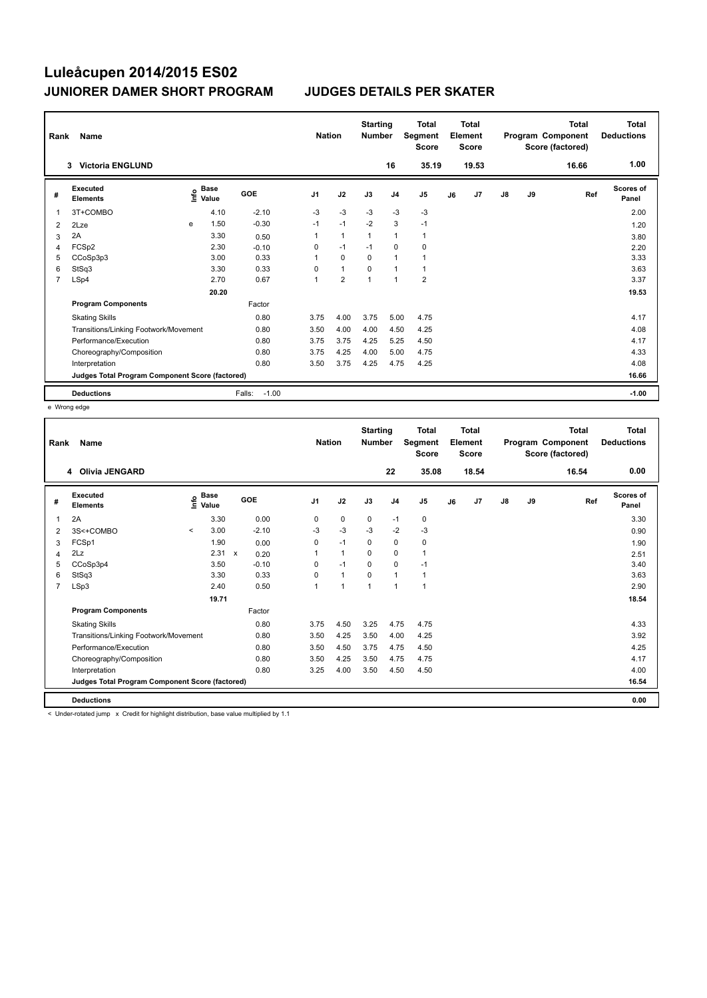| Rank | Name                                            |   |                           |                   | <b>Nation</b>  |                | <b>Starting</b><br><b>Number</b> |                          | <b>Total</b><br>Segment<br><b>Score</b> |    | <b>Total</b><br>Element<br><b>Score</b> |               |    | <b>Total</b><br>Program Component<br>Score (factored) | <b>Total</b><br><b>Deductions</b> |
|------|-------------------------------------------------|---|---------------------------|-------------------|----------------|----------------|----------------------------------|--------------------------|-----------------------------------------|----|-----------------------------------------|---------------|----|-------------------------------------------------------|-----------------------------------|
|      | <b>Victoria ENGLUND</b><br>3                    |   |                           |                   |                |                |                                  | 16                       | 35.19                                   |    | 19.53                                   |               |    | 16.66                                                 | 1.00                              |
| #    | Executed<br><b>Elements</b>                     |   | Base<br>e Base<br>⊆ Value | GOE               | J <sub>1</sub> | J2             | J3                               | J <sub>4</sub>           | J <sub>5</sub>                          | J6 | J <sub>7</sub>                          | $\mathsf{J}8$ | J9 | Ref                                                   | <b>Scores of</b><br>Panel         |
| 1    | 3T+COMBO                                        |   | 4.10                      | $-2.10$           | $-3$           | $-3$           | $-3$                             | $-3$                     | $-3$                                    |    |                                         |               |    |                                                       | 2.00                              |
| 2    | 2Lze                                            | e | 1.50                      | $-0.30$           | $-1$           | $-1$           | $-2$                             | 3                        | $-1$                                    |    |                                         |               |    |                                                       | 1.20                              |
| 3    | 2A                                              |   | 3.30                      | 0.50              | 1              | $\overline{1}$ | $\mathbf{1}$                     | $\mathbf{1}$             | $\mathbf{1}$                            |    |                                         |               |    |                                                       | 3.80                              |
| 4    | FCSp2                                           |   | 2.30                      | $-0.10$           | 0              | $-1$           | $-1$                             | $\mathbf 0$              | 0                                       |    |                                         |               |    |                                                       | 2.20                              |
| 5    | CCoSp3p3                                        |   | 3.00                      | 0.33              | 1              | $\mathbf 0$    | $\mathbf 0$                      | $\mathbf{1}$             | $\mathbf{1}$                            |    |                                         |               |    |                                                       | 3.33                              |
| 6    | StSq3                                           |   | 3.30                      | 0.33              | 0              | $\mathbf{1}$   | $\Omega$                         | $\overline{1}$           | 1                                       |    |                                         |               |    |                                                       | 3.63                              |
| 7    | LSp4                                            |   | 2.70                      | 0.67              | 1              | $\overline{2}$ | $\overline{1}$                   | $\overline{\phantom{a}}$ | $\overline{2}$                          |    |                                         |               |    |                                                       | 3.37                              |
|      |                                                 |   | 20.20                     |                   |                |                |                                  |                          |                                         |    |                                         |               |    |                                                       | 19.53                             |
|      | <b>Program Components</b>                       |   |                           | Factor            |                |                |                                  |                          |                                         |    |                                         |               |    |                                                       |                                   |
|      | <b>Skating Skills</b>                           |   |                           | 0.80              | 3.75           | 4.00           | 3.75                             | 5.00                     | 4.75                                    |    |                                         |               |    |                                                       | 4.17                              |
|      | Transitions/Linking Footwork/Movement           |   |                           | 0.80              | 3.50           | 4.00           | 4.00                             | 4.50                     | 4.25                                    |    |                                         |               |    |                                                       | 4.08                              |
|      | Performance/Execution                           |   |                           | 0.80              | 3.75           | 3.75           | 4.25                             | 5.25                     | 4.50                                    |    |                                         |               |    |                                                       | 4.17                              |
|      | Choreography/Composition                        |   |                           | 0.80              | 3.75           | 4.25           | 4.00                             | 5.00                     | 4.75                                    |    |                                         |               |    |                                                       | 4.33                              |
|      | Interpretation                                  |   |                           | 0.80              | 3.50           | 3.75           | 4.25                             | 4.75                     | 4.25                                    |    |                                         |               |    |                                                       | 4.08                              |
|      | Judges Total Program Component Score (factored) |   |                           |                   |                |                |                                  |                          |                                         |    |                                         |               |    |                                                       | 16.66                             |
|      | <b>Deductions</b>                               |   |                           | $-1.00$<br>Falls: |                |                |                                  |                          |                                         |    |                                         |               |    |                                                       | $-1.00$                           |

e Wrong edge

| Rank           | Name                                            |                                  |       |              |         | <b>Nation</b>  |                | <b>Starting</b><br><b>Number</b> |                | <b>Total</b><br>Segment<br><b>Score</b> |    | <b>Total</b><br>Element<br><b>Score</b> |               |    | <b>Total</b><br>Program Component<br>Score (factored) | Total<br><b>Deductions</b> |
|----------------|-------------------------------------------------|----------------------------------|-------|--------------|---------|----------------|----------------|----------------------------------|----------------|-----------------------------------------|----|-----------------------------------------|---------------|----|-------------------------------------------------------|----------------------------|
|                | <b>Olivia JENGARD</b><br>4                      |                                  |       |              |         |                |                |                                  | 22             | 35.08                                   |    | 18.54                                   |               |    | 16.54                                                 | 0.00                       |
| #              | <b>Executed</b><br><b>Elements</b>              | <b>Base</b><br>e Base<br>⊆ Value |       | GOE          |         | J <sub>1</sub> | J2             | J3                               | J <sub>4</sub> | J <sub>5</sub>                          | J6 | J <sub>7</sub>                          | $\mathsf{J}8$ | J9 | Ref                                                   | <b>Scores of</b><br>Panel  |
|                | 2A                                              |                                  | 3.30  |              | 0.00    | $\mathbf 0$    | $\mathbf 0$    | 0                                | $-1$           | $\mathbf 0$                             |    |                                         |               |    |                                                       | 3.30                       |
| 2              | 3S<+COMBO                                       | $\prec$                          | 3.00  |              | $-2.10$ | $-3$           | $-3$           | -3                               | $-2$           | $-3$                                    |    |                                         |               |    |                                                       | 0.90                       |
| 3              | FCSp1                                           |                                  | 1.90  |              | 0.00    | $\mathbf 0$    | $-1$           | 0                                | 0              | 0                                       |    |                                         |               |    |                                                       | 1.90                       |
| 4              | 2Lz                                             |                                  | 2.31  | $\mathsf{x}$ | 0.20    | 1              | $\mathbf{1}$   | $\Omega$                         | $\Omega$       | $\mathbf{1}$                            |    |                                         |               |    |                                                       | 2.51                       |
| 5              | CCoSp3p4                                        |                                  | 3.50  |              | $-0.10$ | 0              | $-1$           | 0                                | $\Omega$       | $-1$                                    |    |                                         |               |    |                                                       | 3.40                       |
| 6              | StSq3                                           |                                  | 3.30  |              | 0.33    | $\Omega$       | $\overline{1}$ | $\Omega$                         |                | $\mathbf{1}$                            |    |                                         |               |    |                                                       | 3.63                       |
| $\overline{7}$ | LSp3                                            |                                  | 2.40  |              | 0.50    | 1              | 1              | 1                                | 1              | 1                                       |    |                                         |               |    |                                                       | 2.90                       |
|                |                                                 |                                  | 19.71 |              |         |                |                |                                  |                |                                         |    |                                         |               |    |                                                       | 18.54                      |
|                | <b>Program Components</b>                       |                                  |       |              | Factor  |                |                |                                  |                |                                         |    |                                         |               |    |                                                       |                            |
|                | <b>Skating Skills</b>                           |                                  |       |              | 0.80    | 3.75           | 4.50           | 3.25                             | 4.75           | 4.75                                    |    |                                         |               |    |                                                       | 4.33                       |
|                | Transitions/Linking Footwork/Movement           |                                  |       |              | 0.80    | 3.50           | 4.25           | 3.50                             | 4.00           | 4.25                                    |    |                                         |               |    |                                                       | 3.92                       |
|                | Performance/Execution                           |                                  |       |              | 0.80    | 3.50           | 4.50           | 3.75                             | 4.75           | 4.50                                    |    |                                         |               |    |                                                       | 4.25                       |
|                | Choreography/Composition                        |                                  |       |              | 0.80    | 3.50           | 4.25           | 3.50                             | 4.75           | 4.75                                    |    |                                         |               |    |                                                       | 4.17                       |
|                | Interpretation                                  |                                  |       |              | 0.80    | 3.25           | 4.00           | 3.50                             | 4.50           | 4.50                                    |    |                                         |               |    |                                                       | 4.00                       |
|                | Judges Total Program Component Score (factored) |                                  |       |              |         |                |                |                                  |                |                                         |    |                                         |               |    |                                                       | 16.54                      |
|                | <b>Deductions</b>                               |                                  |       |              |         |                |                |                                  |                |                                         |    |                                         |               |    |                                                       | 0.00                       |

< Under-rotated jump x Credit for highlight distribution, base value multiplied by 1.1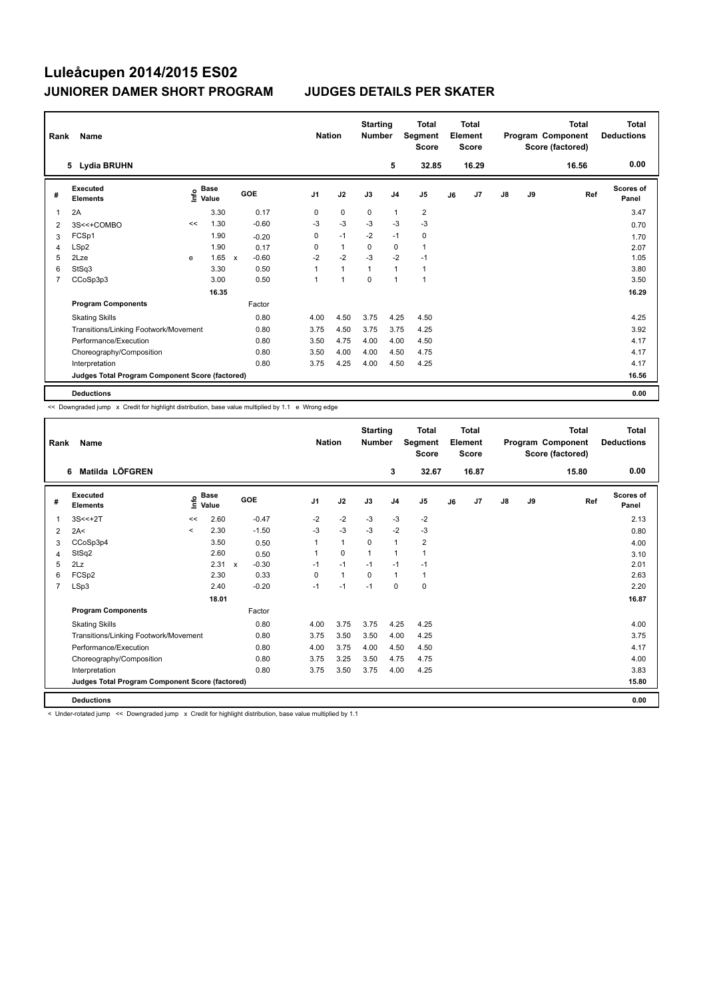| Rank           | Name                                            |    |                                             |              |         |                | <b>Nation</b> |                | <b>Starting</b><br><b>Number</b> |                | <b>Total</b><br>Segment<br><b>Score</b> |    | <b>Total</b><br>Element<br><b>Score</b> |               |    | <b>Total</b><br>Program Component<br>Score (factored) | Total<br><b>Deductions</b> |
|----------------|-------------------------------------------------|----|---------------------------------------------|--------------|---------|----------------|---------------|----------------|----------------------------------|----------------|-----------------------------------------|----|-----------------------------------------|---------------|----|-------------------------------------------------------|----------------------------|
|                | 5 Lydia BRUHN                                   |    |                                             |              |         |                |               |                |                                  | 5              | 32.85                                   |    | 16.29                                   |               |    | 16.56                                                 | 0.00                       |
| #              | Executed<br><b>Elements</b>                     |    | <b>Base</b><br>e <sup>Base</sup><br>⊆ Value |              | GOE     | J <sub>1</sub> |               | J2             | J3                               | J <sub>4</sub> | J <sub>5</sub>                          | J6 | J7                                      | $\mathsf{J}8$ | J9 | Ref                                                   | <b>Scores of</b><br>Panel  |
| 1              | 2A                                              |    | 3.30                                        |              | 0.17    | 0              |               | 0              | 0                                | $\mathbf{1}$   | 2                                       |    |                                         |               |    |                                                       | 3.47                       |
| 2              | 3S<<+COMBO                                      | << | 1.30                                        |              | $-0.60$ | -3             |               | $-3$           | $-3$                             | $-3$           | $-3$                                    |    |                                         |               |    |                                                       | 0.70                       |
| 3              | FCSp1                                           |    | 1.90                                        |              | $-0.20$ | 0              |               | $-1$           | $-2$                             | $-1$           | 0                                       |    |                                         |               |    |                                                       | 1.70                       |
| 4              | LSp2                                            |    | 1.90                                        |              | 0.17    | 0              |               | $\mathbf{1}$   | 0                                | 0              | 1                                       |    |                                         |               |    |                                                       | 2.07                       |
| 5              | 2Lze                                            | e  | 1.65                                        | $\mathsf{x}$ | $-0.60$ | $-2$           |               | $-2$           | $-3$                             | $-2$           | $-1$                                    |    |                                         |               |    |                                                       | 1.05                       |
| 6              | StSq3                                           |    | 3.30                                        |              | 0.50    |                |               | $\overline{1}$ | $\mathbf{1}$                     | $\mathbf{1}$   | $\mathbf{1}$                            |    |                                         |               |    |                                                       | 3.80                       |
| $\overline{7}$ | CCoSp3p3                                        |    | 3.00                                        |              | 0.50    | 1              |               | $\overline{1}$ | $\mathbf 0$                      | $\overline{1}$ | $\mathbf{1}$                            |    |                                         |               |    |                                                       | 3.50                       |
|                |                                                 |    | 16.35                                       |              |         |                |               |                |                                  |                |                                         |    |                                         |               |    |                                                       | 16.29                      |
|                | <b>Program Components</b>                       |    |                                             |              | Factor  |                |               |                |                                  |                |                                         |    |                                         |               |    |                                                       |                            |
|                | <b>Skating Skills</b>                           |    |                                             |              | 0.80    | 4.00           |               | 4.50           | 3.75                             | 4.25           | 4.50                                    |    |                                         |               |    |                                                       | 4.25                       |
|                | Transitions/Linking Footwork/Movement           |    |                                             |              | 0.80    | 3.75           |               | 4.50           | 3.75                             | 3.75           | 4.25                                    |    |                                         |               |    |                                                       | 3.92                       |
|                | Performance/Execution                           |    |                                             |              | 0.80    | 3.50           |               | 4.75           | 4.00                             | 4.00           | 4.50                                    |    |                                         |               |    |                                                       | 4.17                       |
|                | Choreography/Composition                        |    |                                             |              | 0.80    | 3.50           |               | 4.00           | 4.00                             | 4.50           | 4.75                                    |    |                                         |               |    |                                                       | 4.17                       |
|                | Interpretation                                  |    |                                             |              | 0.80    |                | 3.75          | 4.25           | 4.00                             | 4.50           | 4.25                                    |    |                                         |               |    |                                                       | 4.17                       |
|                | Judges Total Program Component Score (factored) |    |                                             |              |         |                |               |                |                                  |                |                                         |    |                                         |               |    |                                                       | 16.56                      |
|                | <b>Deductions</b>                               |    |                                             |              |         |                |               |                |                                  |                |                                         |    |                                         |               |    |                                                       | 0.00                       |

<< Downgraded jump x Credit for highlight distribution, base value multiplied by 1.1 e Wrong edge

| Rank           | Name                                            |              |                      |              |         |          | <b>Nation</b> | <b>Starting</b><br><b>Number</b> |                | <b>Total</b><br>Segment<br><b>Score</b> |    | <b>Total</b><br>Element<br><b>Score</b> |               |    | <b>Total</b><br>Program Component<br>Score (factored) | <b>Total</b><br><b>Deductions</b> |
|----------------|-------------------------------------------------|--------------|----------------------|--------------|---------|----------|---------------|----------------------------------|----------------|-----------------------------------------|----|-----------------------------------------|---------------|----|-------------------------------------------------------|-----------------------------------|
|                | Matilda LÖFGREN<br>6                            |              |                      |              |         |          |               |                                  | 3              | 32.67                                   |    | 16.87                                   |               |    | 15.80                                                 | 0.00                              |
| #              | Executed<br><b>Elements</b>                     | ۴ô           | <b>Base</b><br>Value |              | GOE     | J1       | J2            | J3                               | J <sub>4</sub> | J5                                      | J6 | J <sub>7</sub>                          | $\mathsf{J}8$ | J9 | Ref                                                   | <b>Scores of</b><br>Panel         |
| 1              | $3S < +2T$                                      | <<           | 2.60                 |              | $-0.47$ | $-2$     | $-2$          | $-3$                             | $-3$           | $-2$                                    |    |                                         |               |    |                                                       | 2.13                              |
| 2              | 2A<                                             | $\checkmark$ | 2.30                 |              | $-1.50$ | $-3$     | $-3$          | $-3$                             | $-2$           | $-3$                                    |    |                                         |               |    |                                                       | 0.80                              |
| 3              | CCoSp3p4                                        |              | 3.50                 |              | 0.50    |          | $\mathbf{1}$  | $\mathbf 0$                      | $\mathbf{1}$   | $\overline{\mathbf{c}}$                 |    |                                         |               |    |                                                       | 4.00                              |
| 4              | StSq2                                           |              | 2.60                 |              | 0.50    |          | $\mathbf 0$   | 1                                | $\mathbf{1}$   | 1                                       |    |                                         |               |    |                                                       | 3.10                              |
| 5              | 2Lz                                             |              | 2.31                 | $\mathsf{x}$ | $-0.30$ | $-1$     | $-1$          | $-1$                             | $-1$           | $-1$                                    |    |                                         |               |    |                                                       | 2.01                              |
| 6              | FCSp2                                           |              | 2.30                 |              | 0.33    | $\Omega$ | $\mathbf{1}$  | $\Omega$                         | $\mathbf{1}$   | 1                                       |    |                                         |               |    |                                                       | 2.63                              |
| $\overline{7}$ | LSp3                                            |              | 2.40                 |              | $-0.20$ | $-1$     | $-1$          | $-1$                             | $\Omega$       | 0                                       |    |                                         |               |    |                                                       | 2.20                              |
|                |                                                 |              | 18.01                |              |         |          |               |                                  |                |                                         |    |                                         |               |    |                                                       | 16.87                             |
|                | <b>Program Components</b>                       |              |                      |              | Factor  |          |               |                                  |                |                                         |    |                                         |               |    |                                                       |                                   |
|                | <b>Skating Skills</b>                           |              |                      |              | 0.80    | 4.00     | 3.75          | 3.75                             | 4.25           | 4.25                                    |    |                                         |               |    |                                                       | 4.00                              |
|                | Transitions/Linking Footwork/Movement           |              |                      |              | 0.80    | 3.75     | 3.50          | 3.50                             | 4.00           | 4.25                                    |    |                                         |               |    |                                                       | 3.75                              |
|                | Performance/Execution                           |              |                      |              | 0.80    | 4.00     | 3.75          | 4.00                             | 4.50           | 4.50                                    |    |                                         |               |    |                                                       | 4.17                              |
|                | Choreography/Composition                        |              |                      |              | 0.80    | 3.75     | 3.25          | 3.50                             | 4.75           | 4.75                                    |    |                                         |               |    |                                                       | 4.00                              |
|                | Interpretation                                  |              |                      |              | 0.80    | 3.75     | 3.50          | 3.75                             | 4.00           | 4.25                                    |    |                                         |               |    |                                                       | 3.83                              |
|                | Judges Total Program Component Score (factored) |              |                      |              |         |          |               |                                  |                |                                         |    |                                         |               |    |                                                       | 15.80                             |
|                | <b>Deductions</b>                               |              |                      |              |         |          |               |                                  |                |                                         |    |                                         |               |    |                                                       | 0.00                              |

< Under-rotated jump << Downgraded jump x Credit for highlight distribution, base value multiplied by 1.1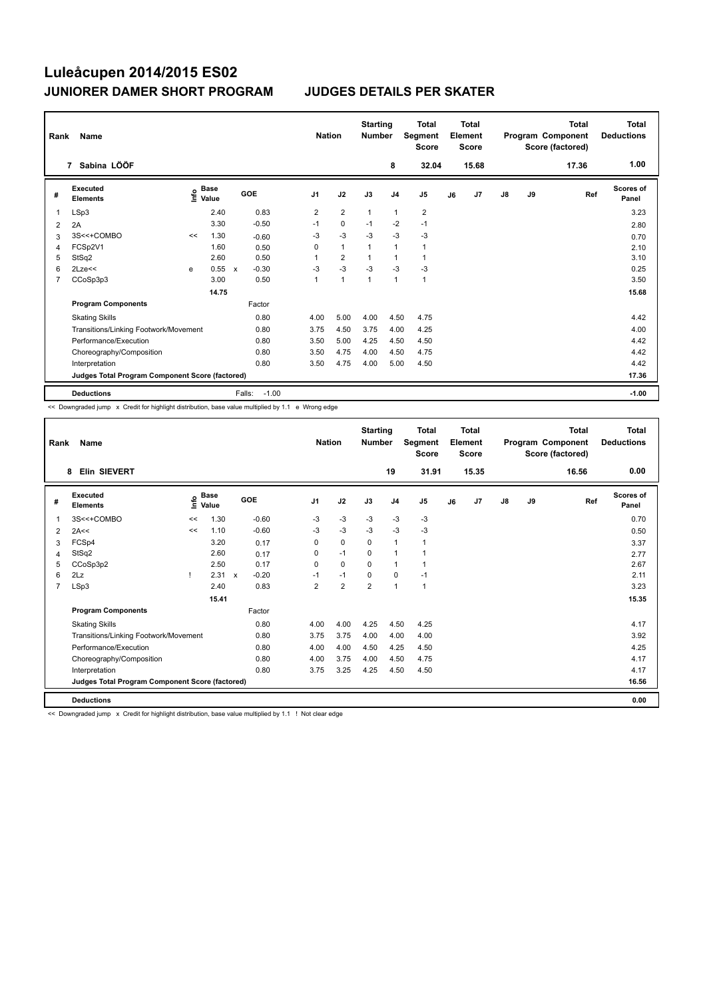| Rank           | Name                                            |    |                                    |              |         | <b>Nation</b>  |                | <b>Starting</b><br><b>Number</b> |                | <b>Total</b><br>Segment<br><b>Score</b> |    | <b>Total</b><br>Element<br><b>Score</b> |               |    | Total<br>Program Component<br>Score (factored) | Total<br><b>Deductions</b> |
|----------------|-------------------------------------------------|----|------------------------------------|--------------|---------|----------------|----------------|----------------------------------|----------------|-----------------------------------------|----|-----------------------------------------|---------------|----|------------------------------------------------|----------------------------|
|                | 7 Sabina LÖÖF                                   |    |                                    |              |         |                |                |                                  | 8              | 32.04                                   |    | 15.68                                   |               |    | 17.36                                          | 1.00                       |
| #              | Executed<br><b>Elements</b>                     |    | <b>Base</b><br>$\frac{6}{5}$ Value | GOE          |         | J <sub>1</sub> | J2             | J3                               | J <sub>4</sub> | J <sub>5</sub>                          | J6 | J7                                      | $\mathsf{J}8$ | J9 | Ref                                            | <b>Scores of</b><br>Panel  |
| $\overline{1}$ | LSp3                                            |    | 2.40                               |              | 0.83    | $\overline{2}$ | $\overline{2}$ | $\mathbf{1}$                     | $\mathbf{1}$   | $\overline{\mathbf{c}}$                 |    |                                         |               |    |                                                | 3.23                       |
| 2              | 2A                                              |    | 3.30                               |              | $-0.50$ | $-1$           | $\mathbf 0$    | $-1$                             | $-2$           | $-1$                                    |    |                                         |               |    |                                                | 2.80                       |
| 3              | 3S<<+COMBO                                      | << | 1.30                               |              | $-0.60$ | -3             | $-3$           | $-3$                             | $-3$           | $-3$                                    |    |                                         |               |    |                                                | 0.70                       |
| 4              | FCSp2V1                                         |    | 1.60                               |              | 0.50    | $\Omega$       | $\mathbf{1}$   | 1                                | $\mathbf{1}$   | 1                                       |    |                                         |               |    |                                                | 2.10                       |
| 5              | StSq2                                           |    | 2.60                               |              | 0.50    | 1              | $\overline{2}$ |                                  | $\mathbf{1}$   | 1                                       |    |                                         |               |    |                                                | 3.10                       |
| 6              | $2$ Lze $<<$                                    | e  | 0.55                               | $\mathsf{x}$ | $-0.30$ | $-3$           | $-3$           | $-3$                             | $-3$           | $-3$                                    |    |                                         |               |    |                                                | 0.25                       |
| $\overline{7}$ | CCoSp3p3                                        |    | 3.00                               |              | 0.50    | 1              | $\overline{1}$ | $\mathbf{1}$                     | $\mathbf{1}$   | $\mathbf{1}$                            |    |                                         |               |    |                                                | 3.50                       |
|                |                                                 |    | 14.75                              |              |         |                |                |                                  |                |                                         |    |                                         |               |    |                                                | 15.68                      |
|                | <b>Program Components</b>                       |    |                                    |              | Factor  |                |                |                                  |                |                                         |    |                                         |               |    |                                                |                            |
|                | <b>Skating Skills</b>                           |    |                                    |              | 0.80    | 4.00           | 5.00           | 4.00                             | 4.50           | 4.75                                    |    |                                         |               |    |                                                | 4.42                       |
|                | Transitions/Linking Footwork/Movement           |    |                                    |              | 0.80    | 3.75           | 4.50           | 3.75                             | 4.00           | 4.25                                    |    |                                         |               |    |                                                | 4.00                       |
|                | Performance/Execution                           |    |                                    |              | 0.80    | 3.50           | 5.00           | 4.25                             | 4.50           | 4.50                                    |    |                                         |               |    |                                                | 4.42                       |
|                | Choreography/Composition                        |    |                                    |              | 0.80    | 3.50           | 4.75           | 4.00                             | 4.50           | 4.75                                    |    |                                         |               |    |                                                | 4.42                       |
|                | Interpretation                                  |    |                                    |              | 0.80    | 3.50           | 4.75           | 4.00                             | 5.00           | 4.50                                    |    |                                         |               |    |                                                | 4.42                       |
|                | Judges Total Program Component Score (factored) |    |                                    |              |         |                |                |                                  |                |                                         |    |                                         |               |    |                                                | 17.36                      |
|                | <b>Deductions</b>                               |    |                                    | Falls:       | $-1.00$ |                |                |                                  |                |                                         |    |                                         |               |    |                                                | $-1.00$                    |

<< Downgraded jump x Credit for highlight distribution, base value multiplied by 1.1 e Wrong edge

| Rank           | Name                                            |    |                     |              |         |                | <b>Nation</b>  |                | <b>Starting</b><br><b>Number</b> |                | <b>Total</b><br>Segment<br><b>Score</b> |    | Total<br>Element<br><b>Score</b> |               |    | <b>Total</b><br>Program Component<br>Score (factored) | <b>Total</b><br><b>Deductions</b> |
|----------------|-------------------------------------------------|----|---------------------|--------------|---------|----------------|----------------|----------------|----------------------------------|----------------|-----------------------------------------|----|----------------------------------|---------------|----|-------------------------------------------------------|-----------------------------------|
|                | Elin SIEVERT<br>8                               |    |                     |              |         |                |                |                |                                  | 19             | 31.91                                   |    | 15.35                            |               |    | 16.56                                                 | 0.00                              |
| #              | Executed<br><b>Elements</b>                     |    | $\sum_{i=1}^{Base}$ |              | GOE     | J <sub>1</sub> |                | J2             | J3                               | J <sub>4</sub> | J5                                      | J6 | J <sub>7</sub>                   | $\mathsf{J}8$ | J9 | Ref                                                   | <b>Scores of</b><br>Panel         |
| 1              | 3S<<+COMBO                                      | << | 1.30                |              | $-0.60$ | $-3$           |                | $-3$           | $-3$                             | $-3$           | $-3$                                    |    |                                  |               |    |                                                       | 0.70                              |
| 2              | 2A<<                                            | << | 1.10                |              | $-0.60$ | $-3$           |                | $-3$           | $-3$                             | $-3$           | $-3$                                    |    |                                  |               |    |                                                       | 0.50                              |
| 3              | FCSp4                                           |    | 3.20                |              | 0.17    | 0              |                | 0              | 0                                | $\mathbf{1}$   | 1                                       |    |                                  |               |    |                                                       | 3.37                              |
| 4              | StSq2                                           |    | 2.60                |              | 0.17    | 0              |                | $-1$           | $\Omega$                         | $\mathbf{1}$   | 1                                       |    |                                  |               |    |                                                       | 2.77                              |
| 5              | CCoSp3p2                                        |    | 2.50                |              | 0.17    | 0              |                | $\mathbf 0$    | $\Omega$                         | $\mathbf 1$    |                                         |    |                                  |               |    |                                                       | 2.67                              |
| 6              | 2Lz                                             |    | 2.31                | $\mathsf{x}$ | $-0.20$ | $-1$           |                | $-1$           | $\Omega$                         | 0              | $-1$                                    |    |                                  |               |    |                                                       | 2.11                              |
| $\overline{7}$ | LSp3                                            |    | 2.40                |              | 0.83    |                | $\overline{2}$ | $\overline{2}$ | $\overline{2}$                   | $\overline{1}$ | 1                                       |    |                                  |               |    |                                                       | 3.23                              |
|                |                                                 |    | 15.41               |              |         |                |                |                |                                  |                |                                         |    |                                  |               |    |                                                       | 15.35                             |
|                | <b>Program Components</b>                       |    |                     |              | Factor  |                |                |                |                                  |                |                                         |    |                                  |               |    |                                                       |                                   |
|                | <b>Skating Skills</b>                           |    |                     |              | 0.80    |                | 4.00           | 4.00           | 4.25                             | 4.50           | 4.25                                    |    |                                  |               |    |                                                       | 4.17                              |
|                | Transitions/Linking Footwork/Movement           |    |                     |              | 0.80    |                | 3.75           | 3.75           | 4.00                             | 4.00           | 4.00                                    |    |                                  |               |    |                                                       | 3.92                              |
|                | Performance/Execution                           |    |                     |              | 0.80    |                | 4.00           | 4.00           | 4.50                             | 4.25           | 4.50                                    |    |                                  |               |    |                                                       | 4.25                              |
|                | Choreography/Composition                        |    |                     |              | 0.80    |                | 4.00           | 3.75           | 4.00                             | 4.50           | 4.75                                    |    |                                  |               |    |                                                       | 4.17                              |
|                | Interpretation                                  |    |                     |              | 0.80    |                | 3.75           | 3.25           | 4.25                             | 4.50           | 4.50                                    |    |                                  |               |    |                                                       | 4.17                              |
|                | Judges Total Program Component Score (factored) |    |                     |              |         |                |                |                |                                  |                |                                         |    |                                  |               |    |                                                       | 16.56                             |
|                | <b>Deductions</b>                               |    |                     |              |         |                |                |                |                                  |                |                                         |    |                                  |               |    |                                                       | 0.00                              |

<< Downgraded jump x Credit for highlight distribution, base value multiplied by 1.1 ! Not clear edge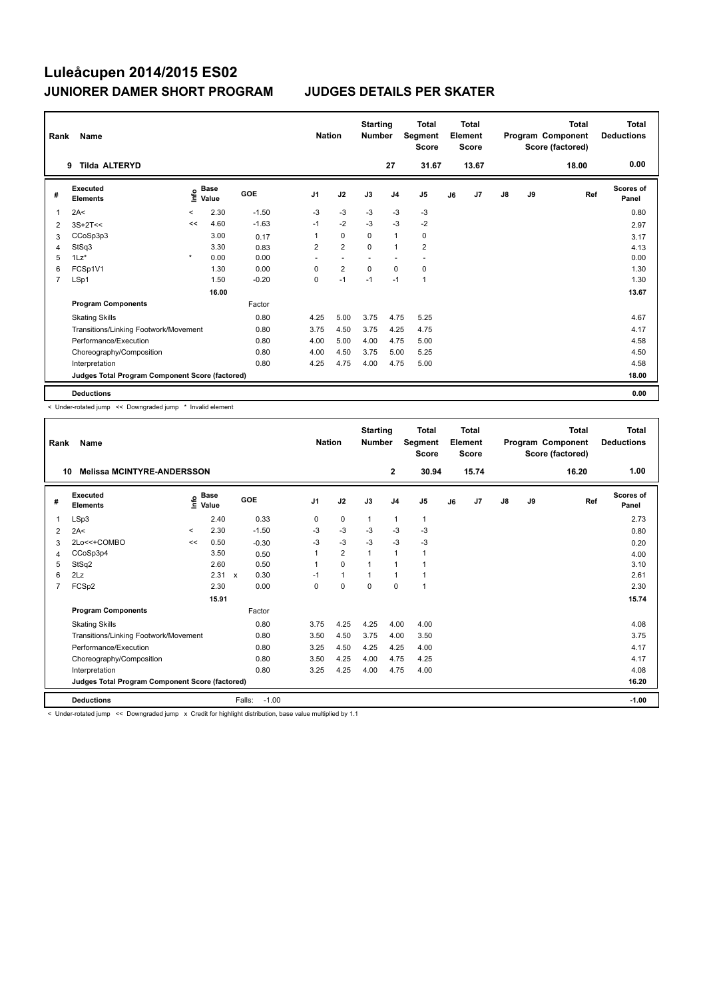| Rank           | Name                                            |         |                           |         | <b>Nation</b>            |                         | <b>Starting</b><br><b>Number</b> |                | <b>Total</b><br>Segment<br><b>Score</b> |    | <b>Total</b><br>Element<br><b>Score</b> |               |    | <b>Total</b><br>Program Component<br>Score (factored) | <b>Total</b><br><b>Deductions</b> |
|----------------|-------------------------------------------------|---------|---------------------------|---------|--------------------------|-------------------------|----------------------------------|----------------|-----------------------------------------|----|-----------------------------------------|---------------|----|-------------------------------------------------------|-----------------------------------|
|                | <b>Tilda ALTERYD</b><br>9                       |         |                           |         |                          |                         |                                  | 27             | 31.67                                   |    | 13.67                                   |               |    | 18.00                                                 | 0.00                              |
| #              | <b>Executed</b><br><b>Elements</b>              |         | Base<br>e Base<br>⊆ Value | GOE     | J <sub>1</sub>           | J2                      | J3                               | J <sub>4</sub> | J <sub>5</sub>                          | J6 | J7                                      | $\mathsf{J}8$ | J9 | Ref                                                   | <b>Scores of</b><br>Panel         |
| 1              | 2A<                                             | $\,<\,$ | 2.30                      | $-1.50$ | $-3$                     | $-3$                    | $-3$                             | $-3$           | -3                                      |    |                                         |               |    |                                                       | 0.80                              |
| 2              | $3S+2T<<$                                       | <<      | 4.60                      | $-1.63$ | $-1$                     | $-2$                    | $-3$                             | $-3$           | $-2$                                    |    |                                         |               |    |                                                       | 2.97                              |
| 3              | CCoSp3p3                                        |         | 3.00                      | 0.17    | 1                        | $\mathbf 0$             | 0                                | $\overline{1}$ | 0                                       |    |                                         |               |    |                                                       | 3.17                              |
| 4              | StSq3                                           |         | 3.30                      | 0.83    | $\overline{2}$           | $\overline{2}$          | $\Omega$                         | $\overline{1}$ | $\overline{2}$                          |    |                                         |               |    |                                                       | 4.13                              |
| 5              | $1\mathsf{L}z^*$                                | $\star$ | 0.00                      | 0.00    | $\overline{\phantom{a}}$ |                         |                                  |                | $\overline{\phantom{a}}$                |    |                                         |               |    |                                                       | 0.00                              |
| 6              | FCSp1V1                                         |         | 1.30                      | 0.00    | 0                        | $\overline{\mathbf{c}}$ | 0                                | 0              | 0                                       |    |                                         |               |    |                                                       | 1.30                              |
| $\overline{7}$ | LSp1                                            |         | 1.50                      | $-0.20$ | 0                        | $-1$                    | $-1$                             | $-1$           | $\mathbf{1}$                            |    |                                         |               |    |                                                       | 1.30                              |
|                |                                                 |         | 16.00                     |         |                          |                         |                                  |                |                                         |    |                                         |               |    |                                                       | 13.67                             |
|                | <b>Program Components</b>                       |         |                           | Factor  |                          |                         |                                  |                |                                         |    |                                         |               |    |                                                       |                                   |
|                | <b>Skating Skills</b>                           |         |                           | 0.80    | 4.25                     | 5.00                    | 3.75                             | 4.75           | 5.25                                    |    |                                         |               |    |                                                       | 4.67                              |
|                | Transitions/Linking Footwork/Movement           |         |                           | 0.80    | 3.75                     | 4.50                    | 3.75                             | 4.25           | 4.75                                    |    |                                         |               |    |                                                       | 4.17                              |
|                | Performance/Execution                           |         |                           | 0.80    | 4.00                     | 5.00                    | 4.00                             | 4.75           | 5.00                                    |    |                                         |               |    |                                                       | 4.58                              |
|                | Choreography/Composition                        |         |                           | 0.80    | 4.00                     | 4.50                    | 3.75                             | 5.00           | 5.25                                    |    |                                         |               |    |                                                       | 4.50                              |
|                | Interpretation                                  |         |                           | 0.80    | 4.25                     | 4.75                    | 4.00                             | 4.75           | 5.00                                    |    |                                         |               |    |                                                       | 4.58                              |
|                | Judges Total Program Component Score (factored) |         |                           |         |                          |                         |                                  |                |                                         |    |                                         |               |    |                                                       | 18.00                             |
|                | <b>Deductions</b>                               |         |                           |         |                          |                         |                                  |                |                                         |    |                                         |               |    |                                                       | 0.00                              |

< Under-rotated jump << Downgraded jump \* Invalid element

| Rank | Name                                                                                                        |         |                      |         |         | <b>Nation</b>  |                | <b>Starting</b><br><b>Number</b> |                | <b>Total</b><br>Segment<br><b>Score</b> |    | <b>Total</b><br>Element<br><b>Score</b> |               |    | <b>Total</b><br>Program Component<br>Score (factored) | <b>Total</b><br><b>Deductions</b> |
|------|-------------------------------------------------------------------------------------------------------------|---------|----------------------|---------|---------|----------------|----------------|----------------------------------|----------------|-----------------------------------------|----|-----------------------------------------|---------------|----|-------------------------------------------------------|-----------------------------------|
| 10   | <b>Melissa MCINTYRE-ANDERSSON</b>                                                                           |         |                      |         |         |                |                |                                  | $\overline{2}$ | 30.94                                   |    | 15.74                                   |               |    | 16.20                                                 | 1.00                              |
| #    | <b>Executed</b><br><b>Elements</b>                                                                          | ۴o      | <b>Base</b><br>Value | GOE     |         | J <sub>1</sub> | J2             | J3                               | J <sub>4</sub> | J <sub>5</sub>                          | J6 | J <sub>7</sub>                          | $\mathsf{J}8$ | J9 | Ref                                                   | <b>Scores of</b><br>Panel         |
| 1    | LSp3                                                                                                        |         | 2.40                 | 0.33    |         | 0              | 0              | 1                                | $\mathbf{1}$   | 1                                       |    |                                         |               |    |                                                       | 2.73                              |
| 2    | 2A<                                                                                                         | $\,<\,$ | 2.30                 | $-1.50$ |         | $-3$           | $-3$           | $-3$                             | $-3$           | $-3$                                    |    |                                         |               |    |                                                       | 0.80                              |
| 3    | 2Lo<<+COMBO                                                                                                 | <<      | 0.50                 | $-0.30$ |         | $-3$           | $-3$           | $-3$                             | $-3$           | $-3$                                    |    |                                         |               |    |                                                       | 0.20                              |
| 4    | CCoSp3p4                                                                                                    |         | 3.50                 | 0.50    |         |                | $\overline{2}$ |                                  | $\mathbf{1}$   | 1                                       |    |                                         |               |    |                                                       | 4.00                              |
| 5    | StSq2                                                                                                       |         | 2.60                 | 0.50    |         |                | $\mathbf 0$    |                                  | 1              |                                         |    |                                         |               |    |                                                       | 3.10                              |
| 6    | 2Lz                                                                                                         |         | 2.31 x               | 0.30    |         | $-1$           | $\mathbf{1}$   |                                  | 1              |                                         |    |                                         |               |    |                                                       | 2.61                              |
| 7    | FCSp2                                                                                                       |         | 2.30                 | 0.00    |         | $\Omega$       | $\Omega$       | $\Omega$                         | 0              | 1                                       |    |                                         |               |    |                                                       | 2.30                              |
|      |                                                                                                             |         | 15.91                |         |         |                |                |                                  |                |                                         |    |                                         |               |    |                                                       | 15.74                             |
|      | <b>Program Components</b>                                                                                   |         |                      | Factor  |         |                |                |                                  |                |                                         |    |                                         |               |    |                                                       |                                   |
|      | <b>Skating Skills</b>                                                                                       |         |                      | 0.80    |         | 3.75           | 4.25           | 4.25                             | 4.00           | 4.00                                    |    |                                         |               |    |                                                       | 4.08                              |
|      | Transitions/Linking Footwork/Movement                                                                       |         |                      | 0.80    |         | 3.50           | 4.50           | 3.75                             | 4.00           | 3.50                                    |    |                                         |               |    |                                                       | 3.75                              |
|      | Performance/Execution                                                                                       |         |                      | 0.80    |         | 3.25           | 4.50           | 4.25                             | 4.25           | 4.00                                    |    |                                         |               |    |                                                       | 4.17                              |
|      | Choreography/Composition                                                                                    |         |                      | 0.80    |         | 3.50           | 4.25           | 4.00                             | 4.75           | 4.25                                    |    |                                         |               |    |                                                       | 4.17                              |
|      | Interpretation                                                                                              |         |                      | 0.80    |         | 3.25           | 4.25           | 4.00                             | 4.75           | 4.00                                    |    |                                         |               |    |                                                       | 4.08                              |
|      | Judges Total Program Component Score (factored)                                                             |         |                      |         |         |                |                |                                  |                |                                         |    |                                         |               |    |                                                       | 16.20                             |
|      | <b>Deductions</b>                                                                                           |         |                      | Falls:  | $-1.00$ |                |                |                                  |                |                                         |    |                                         |               |    |                                                       | $-1.00$                           |
|      | 1.1 Inder retated jump 22 Downgraded jump y Credit for bigblight distribution, base value multiplied by 1-1 |         |                      |         |         |                |                |                                  |                |                                         |    |                                         |               |    |                                                       |                                   |

for highlight distribution, base value mu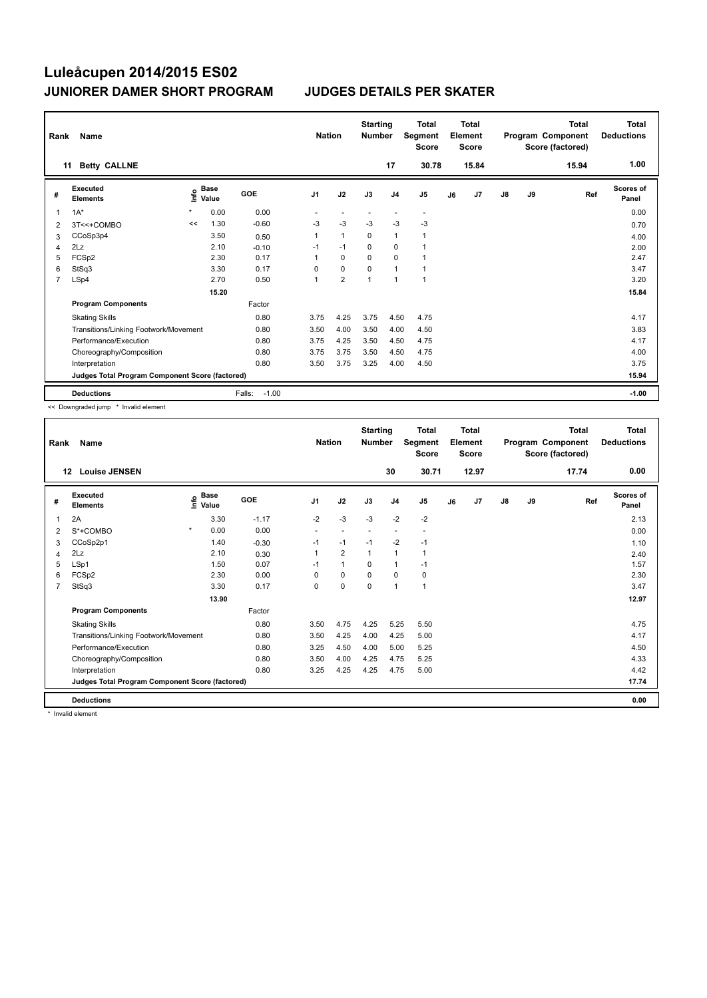| Rank           | Name                                            |         |                      |                   | <b>Nation</b>  |                | <b>Starting</b><br><b>Number</b> |                | Total<br>Segment<br><b>Score</b> |    | <b>Total</b><br>Element<br><b>Score</b> |               |    | <b>Total</b><br>Program Component<br>Score (factored) | <b>Total</b><br><b>Deductions</b> |
|----------------|-------------------------------------------------|---------|----------------------|-------------------|----------------|----------------|----------------------------------|----------------|----------------------------------|----|-----------------------------------------|---------------|----|-------------------------------------------------------|-----------------------------------|
| 11             | <b>Betty CALLNE</b>                             |         |                      |                   |                |                |                                  | 17             | 30.78                            |    | 15.84                                   |               |    | 15.94                                                 | 1.00                              |
| #              | Executed<br><b>Elements</b>                     | ١nfo    | <b>Base</b><br>Value | GOE               | J <sub>1</sub> | J2             | J3                               | J <sub>4</sub> | J <sub>5</sub>                   | J6 | J7                                      | $\mathsf{J}8$ | J9 | Ref                                                   | <b>Scores of</b><br>Panel         |
| $\overline{1}$ | $1A^*$                                          | $\star$ | 0.00                 | 0.00              |                |                |                                  |                | $\overline{\phantom{a}}$         |    |                                         |               |    |                                                       | 0.00                              |
| 2              | 3T<<+COMBO                                      | <<      | 1.30                 | $-0.60$           | $-3$           | $-3$           | $-3$                             | $-3$           | $-3$                             |    |                                         |               |    |                                                       | 0.70                              |
| 3              | CCoSp3p4                                        |         | 3.50                 | 0.50              | $\mathbf{1}$   | $\mathbf{1}$   | $\mathbf 0$                      | $\mathbf{1}$   | $\mathbf{1}$                     |    |                                         |               |    |                                                       | 4.00                              |
| $\overline{4}$ | 2Lz                                             |         | 2.10                 | $-0.10$           | $-1$           | $-1$           | $\mathbf 0$                      | $\mathbf 0$    | $\overline{1}$                   |    |                                         |               |    |                                                       | 2.00                              |
| 5              | FCSp2                                           |         | 2.30                 | 0.17              | 1              | 0              | $\mathbf 0$                      | $\mathbf 0$    | $\overline{1}$                   |    |                                         |               |    |                                                       | 2.47                              |
| 6              | StSq3                                           |         | 3.30                 | 0.17              | $\Omega$       | $\mathbf 0$    | $\Omega$                         | $\overline{1}$ | 1                                |    |                                         |               |    |                                                       | 3.47                              |
| $\overline{7}$ | LSp4                                            |         | 2.70                 | 0.50              | 1              | $\overline{2}$ | $\overline{ }$                   | $\mathbf{1}$   | 1                                |    |                                         |               |    |                                                       | 3.20                              |
|                |                                                 |         | 15.20                |                   |                |                |                                  |                |                                  |    |                                         |               |    |                                                       | 15.84                             |
|                | <b>Program Components</b>                       |         |                      | Factor            |                |                |                                  |                |                                  |    |                                         |               |    |                                                       |                                   |
|                | <b>Skating Skills</b>                           |         |                      | 0.80              | 3.75           | 4.25           | 3.75                             | 4.50           | 4.75                             |    |                                         |               |    |                                                       | 4.17                              |
|                | Transitions/Linking Footwork/Movement           |         |                      | 0.80              | 3.50           | 4.00           | 3.50                             | 4.00           | 4.50                             |    |                                         |               |    |                                                       | 3.83                              |
|                | Performance/Execution                           |         |                      | 0.80              | 3.75           | 4.25           | 3.50                             | 4.50           | 4.75                             |    |                                         |               |    |                                                       | 4.17                              |
|                | Choreography/Composition                        |         |                      | 0.80              | 3.75           | 3.75           | 3.50                             | 4.50           | 4.75                             |    |                                         |               |    |                                                       | 4.00                              |
|                | Interpretation                                  |         |                      | 0.80              | 3.50           | 3.75           | 3.25                             | 4.00           | 4.50                             |    |                                         |               |    |                                                       | 3.75                              |
|                | Judges Total Program Component Score (factored) |         |                      |                   |                |                |                                  |                |                                  |    |                                         |               |    |                                                       | 15.94                             |
|                | <b>Deductions</b>                               |         |                      | Falls:<br>$-1.00$ |                |                |                                  |                |                                  |    |                                         |               |    |                                                       | $-1.00$                           |

<< Downgraded jump \* Invalid element

| Rank | Name                                            |         |                      |         | <b>Nation</b>  |                | <b>Starting</b><br><b>Number</b> |                          | <b>Total</b><br>Segment<br><b>Score</b> |    | <b>Total</b><br>Element<br><b>Score</b> |               |    | <b>Total</b><br>Program Component<br>Score (factored) | <b>Total</b><br><b>Deductions</b> |
|------|-------------------------------------------------|---------|----------------------|---------|----------------|----------------|----------------------------------|--------------------------|-----------------------------------------|----|-----------------------------------------|---------------|----|-------------------------------------------------------|-----------------------------------|
|      | <b>Louise JENSEN</b><br>12                      |         |                      |         |                |                |                                  | 30                       | 30.71                                   |    | 12.97                                   |               |    | 17.74                                                 | 0.00                              |
| #    | Executed<br><b>Elements</b>                     | lnfo    | <b>Base</b><br>Value | GOE     | J <sub>1</sub> | J2             | J3                               | J <sub>4</sub>           | J <sub>5</sub>                          | J6 | J7                                      | $\mathsf{J}8$ | J9 | Ref                                                   | <b>Scores of</b><br>Panel         |
| 1    | 2A                                              |         | 3.30                 | $-1.17$ | $-2$           | $-3$           | $-3$                             | $-2$                     | $-2$                                    |    |                                         |               |    |                                                       | 2.13                              |
| 2    | S*+COMBO                                        | $\star$ | 0.00                 | 0.00    |                |                |                                  | $\overline{\phantom{a}}$ | $\overline{\phantom{a}}$                |    |                                         |               |    |                                                       | 0.00                              |
| 3    | CCoSp2p1                                        |         | 1.40                 | $-0.30$ | $-1$           | $-1$           | $-1$                             | $-2$                     | $-1$                                    |    |                                         |               |    |                                                       | 1.10                              |
| 4    | 2Lz                                             |         | 2.10                 | 0.30    | 1              | $\overline{2}$ | $\mathbf{1}$                     | 1                        | 1                                       |    |                                         |               |    |                                                       | 2.40                              |
| 5    | LSp1                                            |         | 1.50                 | 0.07    | $-1$           | $\mathbf{1}$   | $\Omega$                         | $\mathbf{1}$             | $-1$                                    |    |                                         |               |    |                                                       | 1.57                              |
| 6    | FCSp2                                           |         | 2.30                 | 0.00    | $\Omega$       | 0              | $\Omega$                         | 0                        | 0                                       |    |                                         |               |    |                                                       | 2.30                              |
| 7    | StSq3                                           |         | 3.30                 | 0.17    | $\Omega$       | 0              | 0                                | $\mathbf{1}$             | 1                                       |    |                                         |               |    |                                                       | 3.47                              |
|      |                                                 |         | 13.90                |         |                |                |                                  |                          |                                         |    |                                         |               |    |                                                       | 12.97                             |
|      | <b>Program Components</b>                       |         |                      | Factor  |                |                |                                  |                          |                                         |    |                                         |               |    |                                                       |                                   |
|      | <b>Skating Skills</b>                           |         |                      | 0.80    | 3.50           | 4.75           | 4.25                             | 5.25                     | 5.50                                    |    |                                         |               |    |                                                       | 4.75                              |
|      | Transitions/Linking Footwork/Movement           |         |                      | 0.80    | 3.50           | 4.25           | 4.00                             | 4.25                     | 5.00                                    |    |                                         |               |    |                                                       | 4.17                              |
|      | Performance/Execution                           |         |                      | 0.80    | 3.25           | 4.50           | 4.00                             | 5.00                     | 5.25                                    |    |                                         |               |    |                                                       | 4.50                              |
|      | Choreography/Composition                        |         |                      | 0.80    | 3.50           | 4.00           | 4.25                             | 4.75                     | 5.25                                    |    |                                         |               |    |                                                       | 4.33                              |
|      | Interpretation                                  |         |                      | 0.80    | 3.25           | 4.25           | 4.25                             | 4.75                     | 5.00                                    |    |                                         |               |    |                                                       | 4.42                              |
|      | Judges Total Program Component Score (factored) |         |                      |         |                |                |                                  |                          |                                         |    |                                         |               |    |                                                       | 17.74                             |
|      | <b>Deductions</b>                               |         |                      |         |                |                |                                  |                          |                                         |    |                                         |               |    |                                                       | 0.00                              |

\* Invalid element

I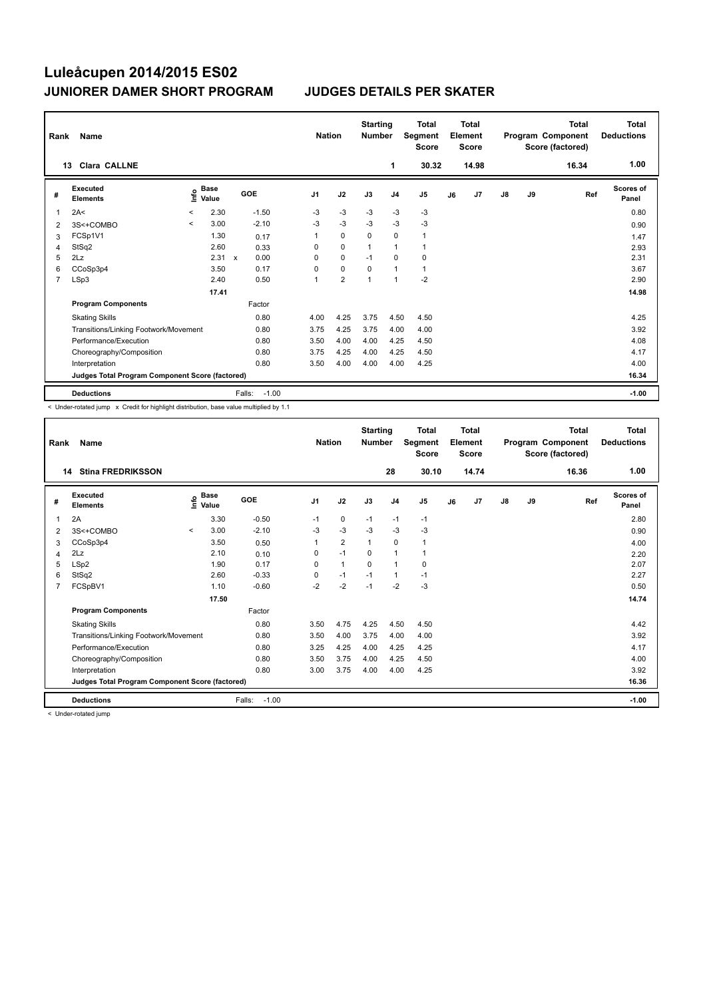| Rank           | Name                                            |         |                      |              |         | <b>Nation</b>  |                | <b>Starting</b><br><b>Number</b> |                | <b>Total</b><br>Segment<br><b>Score</b> |    | Total<br>Element<br><b>Score</b> |               |    | <b>Total</b><br>Program Component<br>Score (factored) | <b>Total</b><br><b>Deductions</b> |
|----------------|-------------------------------------------------|---------|----------------------|--------------|---------|----------------|----------------|----------------------------------|----------------|-----------------------------------------|----|----------------------------------|---------------|----|-------------------------------------------------------|-----------------------------------|
|                | <b>Clara CALLNE</b><br>13                       |         |                      |              |         |                |                |                                  | 1              | 30.32                                   |    | 14.98                            |               |    | 16.34                                                 | 1.00                              |
| #              | Executed<br><b>Elements</b>                     | ۴۵      | <b>Base</b><br>Value | GOE          |         | J <sub>1</sub> | J2             | J3                               | J <sub>4</sub> | J <sub>5</sub>                          | J6 | J7                               | $\mathsf{J}8$ | J9 | Ref                                                   | Scores of<br>Panel                |
| 1              | 2A<                                             | $\prec$ | 2.30                 |              | $-1.50$ | $-3$           | $-3$           | $-3$                             | $-3$           | $-3$                                    |    |                                  |               |    |                                                       | 0.80                              |
| $\overline{2}$ | 3S<+COMBO                                       | $\prec$ | 3.00                 |              | $-2.10$ | $-3$           | $-3$           | $-3$                             | $-3$           | $-3$                                    |    |                                  |               |    |                                                       | 0.90                              |
| 3              | FCSp1V1                                         |         | 1.30                 |              | 0.17    | 1              | $\mathbf 0$    | $\mathbf 0$                      | $\mathbf 0$    | $\mathbf{1}$                            |    |                                  |               |    |                                                       | 1.47                              |
| 4              | StSq2                                           |         | 2.60                 |              | 0.33    | 0              | $\mathbf 0$    | $\mathbf{1}$                     | $\mathbf{1}$   | $\mathbf{1}$                            |    |                                  |               |    |                                                       | 2.93                              |
| 5              | 2Lz                                             |         | 2.31                 | $\mathbf{x}$ | 0.00    | 0              | 0              | $-1$                             | 0              | 0                                       |    |                                  |               |    |                                                       | 2.31                              |
| 6              | CCoSp3p4                                        |         | 3.50                 |              | 0.17    | 0              | $\mathbf 0$    | $\Omega$                         | $\overline{1}$ | $\mathbf{1}$                            |    |                                  |               |    |                                                       | 3.67                              |
| $\overline{7}$ | LSp3                                            |         | 2.40                 |              | 0.50    | 1              | $\overline{2}$ | $\overline{1}$                   | $\mathbf{1}$   | $-2$                                    |    |                                  |               |    |                                                       | 2.90                              |
|                |                                                 |         | 17.41                |              |         |                |                |                                  |                |                                         |    |                                  |               |    |                                                       | 14.98                             |
|                | <b>Program Components</b>                       |         |                      |              | Factor  |                |                |                                  |                |                                         |    |                                  |               |    |                                                       |                                   |
|                | <b>Skating Skills</b>                           |         |                      |              | 0.80    | 4.00           | 4.25           | 3.75                             | 4.50           | 4.50                                    |    |                                  |               |    |                                                       | 4.25                              |
|                | Transitions/Linking Footwork/Movement           |         |                      |              | 0.80    | 3.75           | 4.25           | 3.75                             | 4.00           | 4.00                                    |    |                                  |               |    |                                                       | 3.92                              |
|                | Performance/Execution                           |         |                      |              | 0.80    | 3.50           | 4.00           | 4.00                             | 4.25           | 4.50                                    |    |                                  |               |    |                                                       | 4.08                              |
|                | Choreography/Composition                        |         |                      |              | 0.80    | 3.75           | 4.25           | 4.00                             | 4.25           | 4.50                                    |    |                                  |               |    |                                                       | 4.17                              |
|                | Interpretation                                  |         |                      |              | 0.80    | 3.50           | 4.00           | 4.00                             | 4.00           | 4.25                                    |    |                                  |               |    |                                                       | 4.00                              |
|                | Judges Total Program Component Score (factored) |         |                      |              |         |                |                |                                  |                |                                         |    |                                  |               |    |                                                       | 16.34                             |
|                | <b>Deductions</b>                               |         |                      | Falls:       | $-1.00$ |                |                |                                  |                |                                         |    |                                  |               |    |                                                       | $-1.00$                           |

< Under-rotated jump x Credit for highlight distribution, base value multiplied by 1.1

| Rank           | Name                                            |         |                   |                   | <b>Nation</b>  |                | <b>Starting</b><br><b>Number</b> |                | <b>Total</b><br>Segment<br><b>Score</b> |    | <b>Total</b><br>Element<br><b>Score</b> |               |    | <b>Total</b><br>Program Component<br>Score (factored) | <b>Total</b><br><b>Deductions</b> |
|----------------|-------------------------------------------------|---------|-------------------|-------------------|----------------|----------------|----------------------------------|----------------|-----------------------------------------|----|-----------------------------------------|---------------|----|-------------------------------------------------------|-----------------------------------|
|                | <b>Stina FREDRIKSSON</b><br>14                  |         |                   |                   |                |                |                                  | 28             | 30.10                                   |    | 14.74                                   |               |    | 16.36                                                 | 1.00                              |
| #              | Executed<br><b>Elements</b>                     |         | e Base<br>E Value | GOE               | J <sub>1</sub> | J2             | J3                               | J <sub>4</sub> | J5                                      | J6 | J7                                      | $\mathsf{J}8$ | J9 | Ref                                                   | <b>Scores of</b><br>Panel         |
| 1              | 2A                                              |         | 3.30              | $-0.50$           | $-1$           | 0              | $-1$                             | $-1$           | $-1$                                    |    |                                         |               |    |                                                       | 2.80                              |
| $\overline{2}$ | 3S<+COMBO                                       | $\prec$ | 3.00              | $-2.10$           | $-3$           | $-3$           | $-3$                             | $-3$           | $-3$                                    |    |                                         |               |    |                                                       | 0.90                              |
| 3              | CCoSp3p4                                        |         | 3.50              | 0.50              |                | $\overline{2}$ | 1                                | $\mathbf 0$    | 1                                       |    |                                         |               |    |                                                       | 4.00                              |
| 4              | 2Lz                                             |         | 2.10              | 0.10              | 0              | $-1$           | $\Omega$                         | 1              | 1                                       |    |                                         |               |    |                                                       | 2.20                              |
| 5              | LSp2                                            |         | 1.90              | 0.17              | 0              | $\mathbf{1}$   | $\Omega$                         | 1              | 0                                       |    |                                         |               |    |                                                       | 2.07                              |
| 6              | StSq2                                           |         | 2.60              | $-0.33$           | 0              | $-1$           | $-1$                             | 1              | $-1$                                    |    |                                         |               |    |                                                       | 2.27                              |
| 7              | FCSpBV1                                         |         | 1.10              | $-0.60$           | $-2$           | $-2$           | $-1$                             | $-2$           | $-3$                                    |    |                                         |               |    |                                                       | 0.50                              |
|                |                                                 |         | 17.50             |                   |                |                |                                  |                |                                         |    |                                         |               |    |                                                       | 14.74                             |
|                | <b>Program Components</b>                       |         |                   | Factor            |                |                |                                  |                |                                         |    |                                         |               |    |                                                       |                                   |
|                | <b>Skating Skills</b>                           |         |                   | 0.80              | 3.50           | 4.75           | 4.25                             | 4.50           | 4.50                                    |    |                                         |               |    |                                                       | 4.42                              |
|                | Transitions/Linking Footwork/Movement           |         |                   | 0.80              | 3.50           | 4.00           | 3.75                             | 4.00           | 4.00                                    |    |                                         |               |    |                                                       | 3.92                              |
|                | Performance/Execution                           |         |                   | 0.80              | 3.25           | 4.25           | 4.00                             | 4.25           | 4.25                                    |    |                                         |               |    |                                                       | 4.17                              |
|                | Choreography/Composition                        |         |                   | 0.80              | 3.50           | 3.75           | 4.00                             | 4.25           | 4.50                                    |    |                                         |               |    |                                                       | 4.00                              |
|                | Interpretation                                  |         |                   | 0.80              | 3.00           | 3.75           | 4.00                             | 4.00           | 4.25                                    |    |                                         |               |    |                                                       | 3.92                              |
|                | Judges Total Program Component Score (factored) |         |                   |                   |                |                |                                  |                |                                         |    |                                         |               |    |                                                       | 16.36                             |
|                | <b>Deductions</b>                               |         |                   | Falls:<br>$-1.00$ |                |                |                                  |                |                                         |    |                                         |               |    |                                                       | $-1.00$                           |

< Under-rotated jump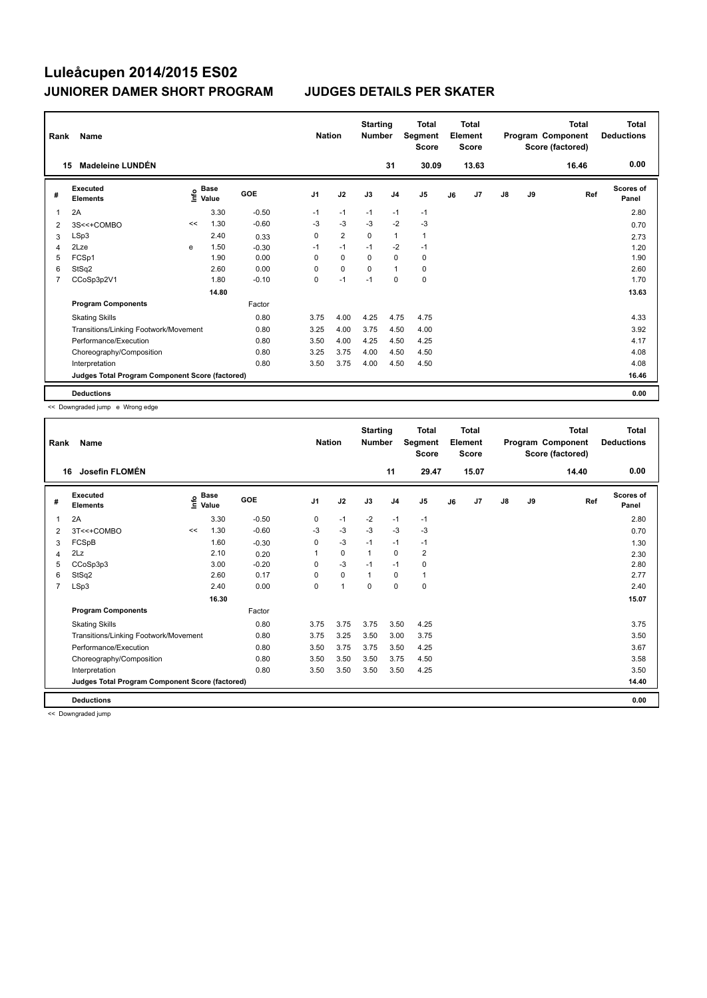| Rank           | Name                                            |    |                             |         | <b>Nation</b>  |                | <b>Starting</b><br><b>Number</b> |                | <b>Total</b><br>Segment<br><b>Score</b> |    | <b>Total</b><br>Element<br><b>Score</b> |               |    | Total<br>Program Component<br>Score (factored) | Total<br><b>Deductions</b> |
|----------------|-------------------------------------------------|----|-----------------------------|---------|----------------|----------------|----------------------------------|----------------|-----------------------------------------|----|-----------------------------------------|---------------|----|------------------------------------------------|----------------------------|
|                | Madeleine LUNDÉN<br>15                          |    |                             |         |                |                |                                  | 31             | 30.09                                   |    | 13.63                                   |               |    | 16.46                                          | 0.00                       |
| #              | Executed<br><b>Elements</b>                     |    | Base<br>$\frac{6}{5}$ Value | GOE     | J <sub>1</sub> | J2             | J3                               | J <sub>4</sub> | J <sub>5</sub>                          | J6 | J7                                      | $\mathsf{J}8$ | J9 | Ref                                            | <b>Scores of</b><br>Panel  |
| 1              | 2A                                              |    | 3.30                        | $-0.50$ | $-1$           | $-1$           | $-1$                             | $-1$           | $-1$                                    |    |                                         |               |    |                                                | 2.80                       |
| 2              | 3S<<+COMBO                                      | << | 1.30                        | $-0.60$ | -3             | $-3$           | $-3$                             | $-2$           | $-3$                                    |    |                                         |               |    |                                                | 0.70                       |
| 3              | LSp3                                            |    | 2.40                        | 0.33    | 0              | $\overline{2}$ | 0                                | $\mathbf{1}$   | $\mathbf{1}$                            |    |                                         |               |    |                                                | 2.73                       |
| 4              | 2Lze                                            | e  | 1.50                        | $-0.30$ | $-1$           | $-1$           | $-1$                             | $-2$           | $-1$                                    |    |                                         |               |    |                                                | 1.20                       |
| 5              | FCSp1                                           |    | 1.90                        | 0.00    | $\Omega$       | 0              | $\Omega$                         | $\mathbf 0$    | 0                                       |    |                                         |               |    |                                                | 1.90                       |
| 6              | StSq2                                           |    | 2.60                        | 0.00    | 0              | $\mathbf 0$    | 0                                | $\mathbf{1}$   | 0                                       |    |                                         |               |    |                                                | 2.60                       |
| $\overline{7}$ | CCoSp3p2V1                                      |    | 1.80                        | $-0.10$ | 0              | $-1$           | $-1$                             | $\mathbf 0$    | $\mathbf 0$                             |    |                                         |               |    |                                                | 1.70                       |
|                |                                                 |    | 14.80                       |         |                |                |                                  |                |                                         |    |                                         |               |    |                                                | 13.63                      |
|                | <b>Program Components</b>                       |    |                             | Factor  |                |                |                                  |                |                                         |    |                                         |               |    |                                                |                            |
|                | <b>Skating Skills</b>                           |    |                             | 0.80    | 3.75           | 4.00           | 4.25                             | 4.75           | 4.75                                    |    |                                         |               |    |                                                | 4.33                       |
|                | Transitions/Linking Footwork/Movement           |    |                             | 0.80    | 3.25           | 4.00           | 3.75                             | 4.50           | 4.00                                    |    |                                         |               |    |                                                | 3.92                       |
|                | Performance/Execution                           |    |                             | 0.80    | 3.50           | 4.00           | 4.25                             | 4.50           | 4.25                                    |    |                                         |               |    |                                                | 4.17                       |
|                | Choreography/Composition                        |    |                             | 0.80    | 3.25           | 3.75           | 4.00                             | 4.50           | 4.50                                    |    |                                         |               |    |                                                | 4.08                       |
|                | Interpretation                                  |    |                             | 0.80    | 3.50           | 3.75           | 4.00                             | 4.50           | 4.50                                    |    |                                         |               |    |                                                | 4.08                       |
|                | Judges Total Program Component Score (factored) |    |                             |         |                |                |                                  |                |                                         |    |                                         |               |    |                                                | 16.46                      |
|                | <b>Deductions</b>                               |    |                             |         |                |                |                                  |                |                                         |    |                                         |               |    |                                                | 0.00                       |

<< Downgraded jump e Wrong edge

| Rank           | Name                                            |      | <b>Nation</b>        |            | <b>Starting</b><br><b>Number</b> |      | <b>Total</b><br>Segment<br><b>Score</b> |                | <b>Total</b><br>Element<br><b>Score</b> |    |       | <b>Total</b><br>Program Component<br>Score (factored) | <b>Total</b><br><b>Deductions</b> |       |                    |
|----------------|-------------------------------------------------|------|----------------------|------------|----------------------------------|------|-----------------------------------------|----------------|-----------------------------------------|----|-------|-------------------------------------------------------|-----------------------------------|-------|--------------------|
|                | Josefin FLOMÉN<br>16                            |      |                      |            |                                  |      |                                         | 11             | 29.47                                   |    | 15.07 |                                                       |                                   | 14.40 | 0.00               |
| #              | Executed<br><b>Elements</b>                     | ١nfo | <b>Base</b><br>Value | <b>GOE</b> | J <sub>1</sub>                   | J2   | J3                                      | J <sub>4</sub> | J <sub>5</sub>                          | J6 | J7    | J8                                                    | J9                                | Ref   | Scores of<br>Panel |
| 1              | 2A                                              |      | 3.30                 | $-0.50$    | 0                                | $-1$ | $-2$                                    | $-1$           | $-1$                                    |    |       |                                                       |                                   |       | 2.80               |
| 2              | 3T<<+COMBO                                      | <<   | 1.30                 | $-0.60$    | $-3$                             | $-3$ | $-3$                                    | $-3$           | $-3$                                    |    |       |                                                       |                                   |       | 0.70               |
| 3              | FCSpB                                           |      | 1.60                 | $-0.30$    | 0                                | $-3$ | $-1$                                    | $-1$           | $-1$                                    |    |       |                                                       |                                   |       | 1.30               |
| 4              | 2Lz                                             |      | 2.10                 | 0.20       |                                  | 0    | 1                                       | $\mathbf 0$    | 2                                       |    |       |                                                       |                                   |       | 2.30               |
| 5              | CCoSp3p3                                        |      | 3.00                 | $-0.20$    | 0                                | $-3$ | $-1$                                    | $-1$           | 0                                       |    |       |                                                       |                                   |       | 2.80               |
| 6              | StSq2                                           |      | 2.60                 | 0.17       | $\Omega$                         | 0    | 1                                       | 0              | 1                                       |    |       |                                                       |                                   |       | 2.77               |
| $\overline{7}$ | LSp3                                            |      | 2.40                 | 0.00       | 0                                | 1    | 0                                       | 0              | 0                                       |    |       |                                                       |                                   |       | 2.40               |
|                |                                                 |      | 16.30                |            |                                  |      |                                         |                |                                         |    |       |                                                       |                                   |       | 15.07              |
|                | <b>Program Components</b>                       |      |                      | Factor     |                                  |      |                                         |                |                                         |    |       |                                                       |                                   |       |                    |
|                | <b>Skating Skills</b>                           |      |                      | 0.80       | 3.75                             | 3.75 | 3.75                                    | 3.50           | 4.25                                    |    |       |                                                       |                                   |       | 3.75               |
|                | Transitions/Linking Footwork/Movement           |      |                      | 0.80       | 3.75                             | 3.25 | 3.50                                    | 3.00           | 3.75                                    |    |       |                                                       |                                   |       | 3.50               |
|                | Performance/Execution                           |      |                      | 0.80       | 3.50                             | 3.75 | 3.75                                    | 3.50           | 4.25                                    |    |       |                                                       |                                   |       | 3.67               |
|                | Choreography/Composition                        |      |                      | 0.80       | 3.50                             | 3.50 | 3.50                                    | 3.75           | 4.50                                    |    |       |                                                       |                                   |       | 3.58               |
|                | Interpretation                                  |      |                      | 0.80       | 3.50                             | 3.50 | 3.50                                    | 3.50           | 4.25                                    |    |       |                                                       |                                   |       | 3.50               |
|                | Judges Total Program Component Score (factored) |      |                      |            |                                  |      |                                         |                |                                         |    |       |                                                       |                                   |       | 14.40              |
|                | <b>Deductions</b>                               |      |                      |            |                                  |      |                                         |                |                                         |    |       |                                                       |                                   |       | 0.00               |

<< Downgraded jump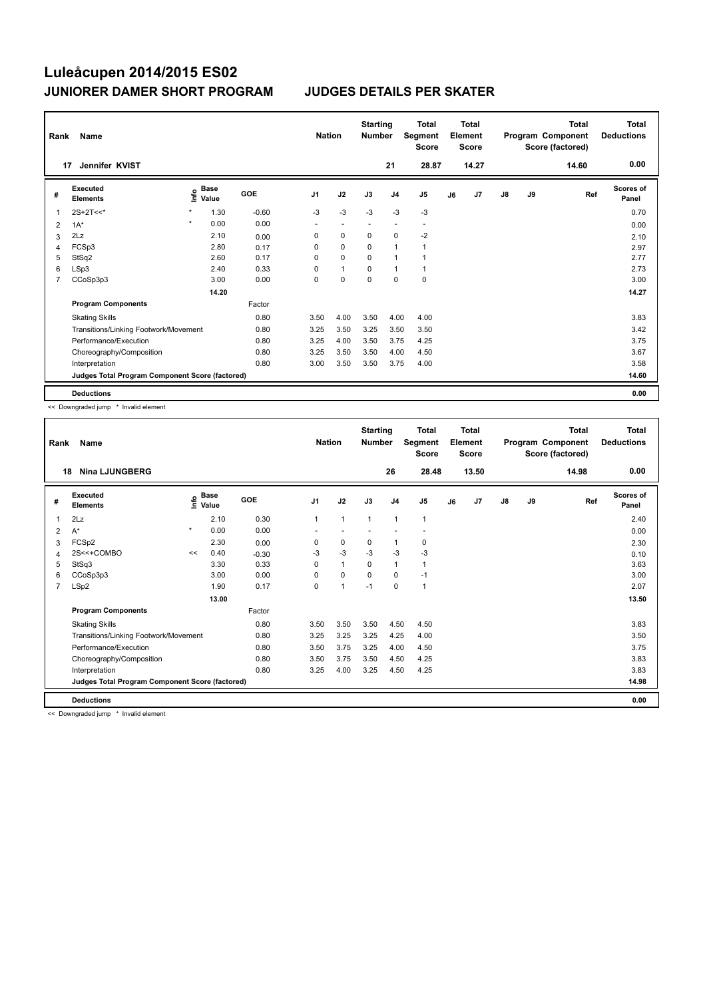| Rank           | Name                                            |         |               |         | <b>Nation</b>            |              | <b>Starting</b><br><b>Number</b> |                          | <b>Total</b><br>Segment<br><b>Score</b> |    | <b>Total</b><br>Element<br><b>Score</b> |               |    | <b>Total</b><br>Program Component<br>Score (factored) | <b>Total</b><br><b>Deductions</b> |
|----------------|-------------------------------------------------|---------|---------------|---------|--------------------------|--------------|----------------------------------|--------------------------|-----------------------------------------|----|-----------------------------------------|---------------|----|-------------------------------------------------------|-----------------------------------|
|                | Jennifer KVIST<br>17                            |         |               |         |                          |              |                                  | 21                       | 28.87                                   |    | 14.27                                   |               |    | 14.60                                                 | 0.00                              |
| #              | Executed<br><b>Elements</b>                     | ١nf٥    | Base<br>Value | GOE     | J <sub>1</sub>           | J2           | J3                               | J <sub>4</sub>           | J <sub>5</sub>                          | J6 | J7                                      | $\mathsf{J}8$ | J9 | Ref                                                   | <b>Scores of</b><br>Panel         |
| 1              | $2S+2T<<$                                       |         | 1.30          | $-0.60$ | $-3$                     | $-3$         | $-3$                             | $-3$                     | $-3$                                    |    |                                         |               |    |                                                       | 0.70                              |
| 2              | $1A^*$                                          | $\star$ | 0.00          | 0.00    | $\overline{\phantom{a}}$ | $\sim$       | $\sim$                           | $\overline{\phantom{a}}$ | $\overline{\phantom{a}}$                |    |                                         |               |    |                                                       | 0.00                              |
| 3              | 2Lz                                             |         | 2.10          | 0.00    | 0                        | 0            | 0                                | $\mathbf 0$              | $-2$                                    |    |                                         |               |    |                                                       | 2.10                              |
| 4              | FCSp3                                           |         | 2.80          | 0.17    | 0                        | $\mathbf 0$  | 0                                | $\mathbf{1}$             | $\overline{1}$                          |    |                                         |               |    |                                                       | 2.97                              |
| 5              | StSq2                                           |         | 2.60          | 0.17    | $\Omega$                 | $\mathbf 0$  | $\Omega$                         | $\overline{1}$           |                                         |    |                                         |               |    |                                                       | 2.77                              |
| 6              | LSp3                                            |         | 2.40          | 0.33    | 0                        | $\mathbf{1}$ | 0                                | $\mathbf{1}$             | $\mathbf{1}$                            |    |                                         |               |    |                                                       | 2.73                              |
| $\overline{7}$ | CCoSp3p3                                        |         | 3.00          | 0.00    | 0                        | $\mathbf 0$  | $\mathbf 0$                      | $\mathbf 0$              | $\mathbf 0$                             |    |                                         |               |    |                                                       | 3.00                              |
|                |                                                 |         | 14.20         |         |                          |              |                                  |                          |                                         |    |                                         |               |    |                                                       | 14.27                             |
|                | <b>Program Components</b>                       |         |               | Factor  |                          |              |                                  |                          |                                         |    |                                         |               |    |                                                       |                                   |
|                | <b>Skating Skills</b>                           |         |               | 0.80    | 3.50                     | 4.00         | 3.50                             | 4.00                     | 4.00                                    |    |                                         |               |    |                                                       | 3.83                              |
|                | Transitions/Linking Footwork/Movement           |         |               | 0.80    | 3.25                     | 3.50         | 3.25                             | 3.50                     | 3.50                                    |    |                                         |               |    |                                                       | 3.42                              |
|                | Performance/Execution                           |         |               | 0.80    | 3.25                     | 4.00         | 3.50                             | 3.75                     | 4.25                                    |    |                                         |               |    |                                                       | 3.75                              |
|                | Choreography/Composition                        |         |               | 0.80    | 3.25                     | 3.50         | 3.50                             | 4.00                     | 4.50                                    |    |                                         |               |    |                                                       | 3.67                              |
|                | Interpretation                                  |         |               | 0.80    | 3.00                     | 3.50         | 3.50                             | 3.75                     | 4.00                                    |    |                                         |               |    |                                                       | 3.58                              |
|                | Judges Total Program Component Score (factored) |         |               |         |                          |              |                                  |                          |                                         |    |                                         |               |    |                                                       | 14.60                             |
|                | <b>Deductions</b>                               |         |               |         |                          |              |                                  |                          |                                         |    |                                         |               |    |                                                       | 0.00                              |

<< Downgraded jump \* Invalid element

| Rank           | <b>Name</b>                                     |         |                      |         | <b>Nation</b>  |              | <b>Starting</b><br><b>Number</b> |                | <b>Total</b><br>Segment<br><b>Score</b> |    | Total<br>Element<br><b>Score</b> |               |    | <b>Total</b><br>Program Component<br>Score (factored) | <b>Total</b><br><b>Deductions</b> |
|----------------|-------------------------------------------------|---------|----------------------|---------|----------------|--------------|----------------------------------|----------------|-----------------------------------------|----|----------------------------------|---------------|----|-------------------------------------------------------|-----------------------------------|
| 18             | <b>Nina LJUNGBERG</b>                           |         |                      |         |                |              |                                  | 26             | 28.48                                   |    | 13.50                            |               |    | 14.98                                                 | 0.00                              |
| #              | <b>Executed</b><br><b>Elements</b>              | ۴       | <b>Base</b><br>Value | GOE     | J <sub>1</sub> | J2           | J3                               | J <sub>4</sub> | J5                                      | J6 | J7                               | $\mathsf{J}8$ | J9 | Ref                                                   | <b>Scores of</b><br>Panel         |
| 1              | 2Lz                                             |         | 2.10                 | 0.30    | 1              | $\mathbf{1}$ | $\mathbf{1}$                     | $\mathbf{1}$   | $\mathbf{1}$                            |    |                                  |               |    |                                                       | 2.40                              |
| 2              | $A^*$                                           | $\star$ | 0.00                 | 0.00    |                |              |                                  |                |                                         |    |                                  |               |    |                                                       | 0.00                              |
| 3              | FCSp2                                           |         | 2.30                 | 0.00    | 0              | 0            | 0                                | 1              | 0                                       |    |                                  |               |    |                                                       | 2.30                              |
| 4              | 2S<<+COMBO                                      | <<      | 0.40                 | $-0.30$ | -3             | $-3$         | $-3$                             | $-3$           | $-3$                                    |    |                                  |               |    |                                                       | 0.10                              |
| 5              | StSq3                                           |         | 3.30                 | 0.33    | $\Omega$       | $\mathbf{1}$ | $\Omega$                         | $\mathbf{1}$   | 1                                       |    |                                  |               |    |                                                       | 3.63                              |
| 6              | CCoSp3p3                                        |         | 3.00                 | 0.00    | 0              | $\Omega$     | $\Omega$                         | $\Omega$       | $-1$                                    |    |                                  |               |    |                                                       | 3.00                              |
| $\overline{7}$ | LSp2                                            |         | 1.90                 | 0.17    | $\Omega$       | 1            | $-1$                             | $\Omega$       | $\overline{1}$                          |    |                                  |               |    |                                                       | 2.07                              |
|                |                                                 |         | 13.00                |         |                |              |                                  |                |                                         |    |                                  |               |    |                                                       | 13.50                             |
|                | <b>Program Components</b>                       |         |                      | Factor  |                |              |                                  |                |                                         |    |                                  |               |    |                                                       |                                   |
|                | <b>Skating Skills</b>                           |         |                      | 0.80    | 3.50           | 3.50         | 3.50                             | 4.50           | 4.50                                    |    |                                  |               |    |                                                       | 3.83                              |
|                | Transitions/Linking Footwork/Movement           |         |                      | 0.80    | 3.25           | 3.25         | 3.25                             | 4.25           | 4.00                                    |    |                                  |               |    |                                                       | 3.50                              |
|                | Performance/Execution                           |         |                      | 0.80    | 3.50           | 3.75         | 3.25                             | 4.00           | 4.50                                    |    |                                  |               |    |                                                       | 3.75                              |
|                | Choreography/Composition                        |         |                      | 0.80    | 3.50           | 3.75         | 3.50                             | 4.50           | 4.25                                    |    |                                  |               |    |                                                       | 3.83                              |
|                | Interpretation                                  |         |                      | 0.80    | 3.25           | 4.00         | 3.25                             | 4.50           | 4.25                                    |    |                                  |               |    |                                                       | 3.83                              |
|                | Judges Total Program Component Score (factored) |         |                      |         |                |              |                                  |                |                                         |    |                                  |               |    |                                                       | 14.98                             |
|                | <b>Deductions</b>                               |         |                      |         |                |              |                                  |                |                                         |    |                                  |               |    |                                                       | 0.00                              |

<< Downgraded jump \* Invalid element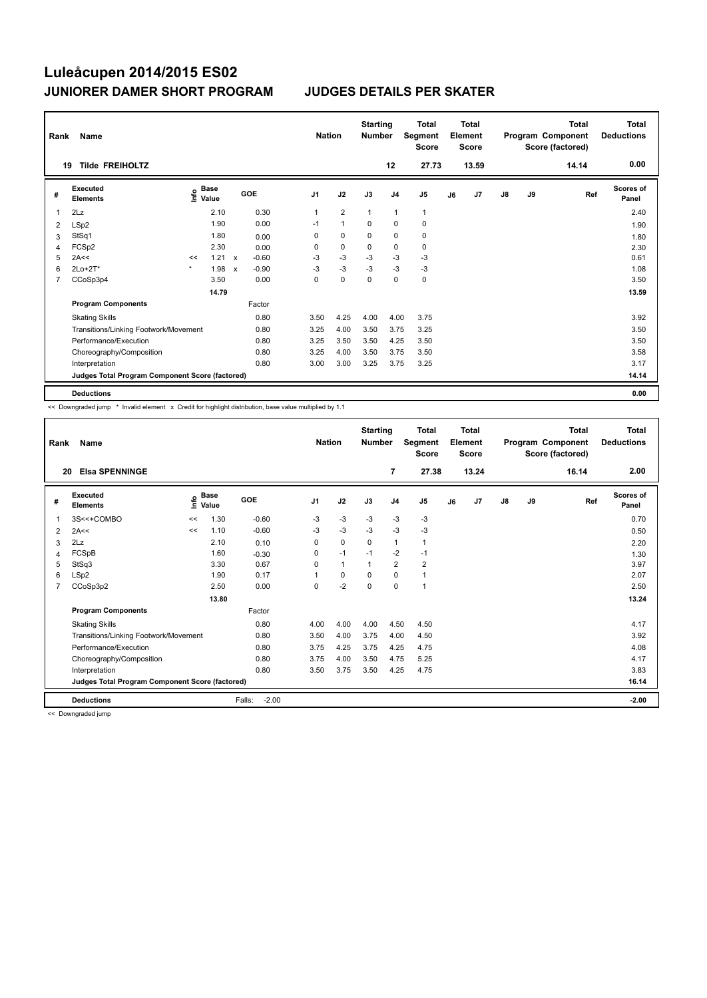| Rank        | Name                                            |         |                                  |                           |         | <b>Nation</b>  |                | <b>Starting</b><br><b>Number</b> |                | <b>Total</b><br>Segment<br><b>Score</b> |    | <b>Total</b><br>Element<br><b>Score</b> |    |    | <b>Total</b><br>Program Component<br>Score (factored) | <b>Total</b><br><b>Deductions</b> |
|-------------|-------------------------------------------------|---------|----------------------------------|---------------------------|---------|----------------|----------------|----------------------------------|----------------|-----------------------------------------|----|-----------------------------------------|----|----|-------------------------------------------------------|-----------------------------------|
| 19          | <b>Tilde FREIHOLTZ</b>                          |         |                                  |                           |         |                |                |                                  | 12             | 27.73                                   |    | 13.59                                   |    |    | 14.14                                                 | 0.00                              |
| #           | <b>Executed</b><br><b>Elements</b>              |         | <b>Base</b><br>e Base<br>⊆ Value |                           | GOE     | J <sub>1</sub> | J2             | J3                               | J <sub>4</sub> | J <sub>5</sub>                          | J6 | J7                                      | J8 | J9 | Ref                                                   | <b>Scores of</b><br>Panel         |
| $\mathbf 1$ | 2Lz                                             |         | 2.10                             |                           | 0.30    | $\mathbf{1}$   | $\overline{2}$ | $\mathbf{1}$                     | $\mathbf{1}$   | $\mathbf{1}$                            |    |                                         |    |    |                                                       | 2.40                              |
| 2           | LSp2                                            |         | 1.90                             |                           | 0.00    | $-1$           | $\mathbf{1}$   | $\Omega$                         | $\mathbf 0$    | $\mathbf 0$                             |    |                                         |    |    |                                                       | 1.90                              |
| 3           | StSq1                                           |         | 1.80                             |                           | 0.00    | 0              | $\mathbf 0$    | 0                                | 0              | $\mathbf 0$                             |    |                                         |    |    |                                                       | 1.80                              |
| 4           | FCSp2                                           |         | 2.30                             |                           | 0.00    | $\Omega$       | $\mathbf 0$    | $\mathbf 0$                      | $\mathbf 0$    | $\mathbf 0$                             |    |                                         |    |    |                                                       | 2.30                              |
| 5           | 2A<<                                            | <<      | 1.21                             | $\mathsf{x}$              | $-0.60$ | $-3$           | $-3$           | $-3$                             | $-3$           | $-3$                                    |    |                                         |    |    |                                                       | 0.61                              |
| 6           | 2Lo+2T*                                         | $\star$ | 1.98                             | $\boldsymbol{\mathsf{x}}$ | $-0.90$ | $-3$           | $-3$           | $-3$                             | $-3$           | $-3$                                    |    |                                         |    |    |                                                       | 1.08                              |
| 7           | CCoSp3p4                                        |         | 3.50                             |                           | 0.00    | 0              | $\pmb{0}$      | 0                                | 0              | 0                                       |    |                                         |    |    |                                                       | 3.50                              |
|             |                                                 |         | 14.79                            |                           |         |                |                |                                  |                |                                         |    |                                         |    |    |                                                       | 13.59                             |
|             | <b>Program Components</b>                       |         |                                  |                           | Factor  |                |                |                                  |                |                                         |    |                                         |    |    |                                                       |                                   |
|             | <b>Skating Skills</b>                           |         |                                  |                           | 0.80    | 3.50           | 4.25           | 4.00                             | 4.00           | 3.75                                    |    |                                         |    |    |                                                       | 3.92                              |
|             | Transitions/Linking Footwork/Movement           |         |                                  |                           | 0.80    | 3.25           | 4.00           | 3.50                             | 3.75           | 3.25                                    |    |                                         |    |    |                                                       | 3.50                              |
|             | Performance/Execution                           |         |                                  |                           | 0.80    | 3.25           | 3.50           | 3.50                             | 4.25           | 3.50                                    |    |                                         |    |    |                                                       | 3.50                              |
|             | Choreography/Composition                        |         |                                  |                           | 0.80    | 3.25           | 4.00           | 3.50                             | 3.75           | 3.50                                    |    |                                         |    |    |                                                       | 3.58                              |
|             | Interpretation                                  |         |                                  |                           | 0.80    | 3.00           | 3.00           | 3.25                             | 3.75           | 3.25                                    |    |                                         |    |    |                                                       | 3.17                              |
|             | Judges Total Program Component Score (factored) |         |                                  |                           |         |                |                |                                  |                |                                         |    |                                         |    |    |                                                       | 14.14                             |
|             | <b>Deductions</b>                               |         |                                  |                           |         |                |                |                                  |                |                                         |    |                                         |    |    |                                                       | 0.00                              |

<< Downgraded jump \* Invalid element x Credit for highlight distribution, base value multiplied by 1.1

| Rank           | <b>Name</b>                                     |    | <b>Nation</b>        |                   | <b>Starting</b><br><b>Number</b> |              | <b>Total</b><br>Segment<br><b>Score</b> |                | Total<br>Element<br><b>Score</b> |    |                | Total<br>Program Component<br>Score (factored) | <b>Total</b><br><b>Deductions</b> |       |                    |
|----------------|-------------------------------------------------|----|----------------------|-------------------|----------------------------------|--------------|-----------------------------------------|----------------|----------------------------------|----|----------------|------------------------------------------------|-----------------------------------|-------|--------------------|
| 20             | <b>Elsa SPENNINGE</b>                           |    |                      |                   |                                  |              |                                         | 7              | 27.38                            |    | 13.24          |                                                |                                   | 16.14 | 2.00               |
| #              | <b>Executed</b><br><b>Elements</b>              | ۴٥ | <b>Base</b><br>Value | GOE               | J <sub>1</sub>                   | J2           | J3                                      | J <sub>4</sub> | J <sub>5</sub>                   | J6 | J <sub>7</sub> | J8                                             | J9                                | Ref   | Scores of<br>Panel |
| 1              | 3S<<+COMBO                                      | << | 1.30                 | $-0.60$           | $-3$                             | $-3$         | $-3$                                    | $-3$           | $-3$                             |    |                |                                                |                                   |       | 0.70               |
| 2              | 2A<<                                            | << | 1.10                 | $-0.60$           | $-3$                             | $-3$         | $-3$                                    | $-3$           | $-3$                             |    |                |                                                |                                   |       | 0.50               |
| 3              | 2Lz                                             |    | 2.10                 | 0.10              | 0                                | 0            | 0                                       | $\mathbf{1}$   | $\mathbf{1}$                     |    |                |                                                |                                   |       | 2.20               |
| 4              | FCSpB                                           |    | 1.60                 | $-0.30$           | 0                                | $-1$         | $-1$                                    | $-2$           | $-1$                             |    |                |                                                |                                   |       | 1.30               |
| 5              | StSq3                                           |    | 3.30                 | 0.67              | $\Omega$                         | $\mathbf{1}$ | 1                                       | $\overline{2}$ | $\overline{\mathbf{c}}$          |    |                |                                                |                                   |       | 3.97               |
| 6              | LSp2                                            |    | 1.90                 | 0.17              | 1                                | $\Omega$     | $\Omega$                                | 0              | 1                                |    |                |                                                |                                   |       | 2.07               |
| $\overline{7}$ | CCoSp3p2                                        |    | 2.50                 | 0.00              | 0                                | $-2$         | $\mathbf 0$                             | $\mathbf 0$    | $\mathbf{1}$                     |    |                |                                                |                                   |       | 2.50               |
|                |                                                 |    | 13.80                |                   |                                  |              |                                         |                |                                  |    |                |                                                |                                   |       | 13.24              |
|                | <b>Program Components</b>                       |    |                      | Factor            |                                  |              |                                         |                |                                  |    |                |                                                |                                   |       |                    |
|                | <b>Skating Skills</b>                           |    |                      | 0.80              | 4.00                             | 4.00         | 4.00                                    | 4.50           | 4.50                             |    |                |                                                |                                   |       | 4.17               |
|                | Transitions/Linking Footwork/Movement           |    |                      | 0.80              | 3.50                             | 4.00         | 3.75                                    | 4.00           | 4.50                             |    |                |                                                |                                   |       | 3.92               |
|                | Performance/Execution                           |    |                      | 0.80              | 3.75                             | 4.25         | 3.75                                    | 4.25           | 4.75                             |    |                |                                                |                                   |       | 4.08               |
|                | Choreography/Composition                        |    |                      | 0.80              | 3.75                             | 4.00         | 3.50                                    | 4.75           | 5.25                             |    |                |                                                |                                   |       | 4.17               |
|                | Interpretation                                  |    |                      | 0.80              | 3.50                             | 3.75         | 3.50                                    | 4.25           | 4.75                             |    |                |                                                |                                   |       | 3.83               |
|                | Judges Total Program Component Score (factored) |    |                      |                   |                                  |              |                                         |                |                                  |    |                |                                                |                                   |       | 16.14              |
|                | <b>Deductions</b>                               |    |                      | Falls:<br>$-2.00$ |                                  |              |                                         |                |                                  |    |                |                                                |                                   |       | $-2.00$            |

<< Downgraded jump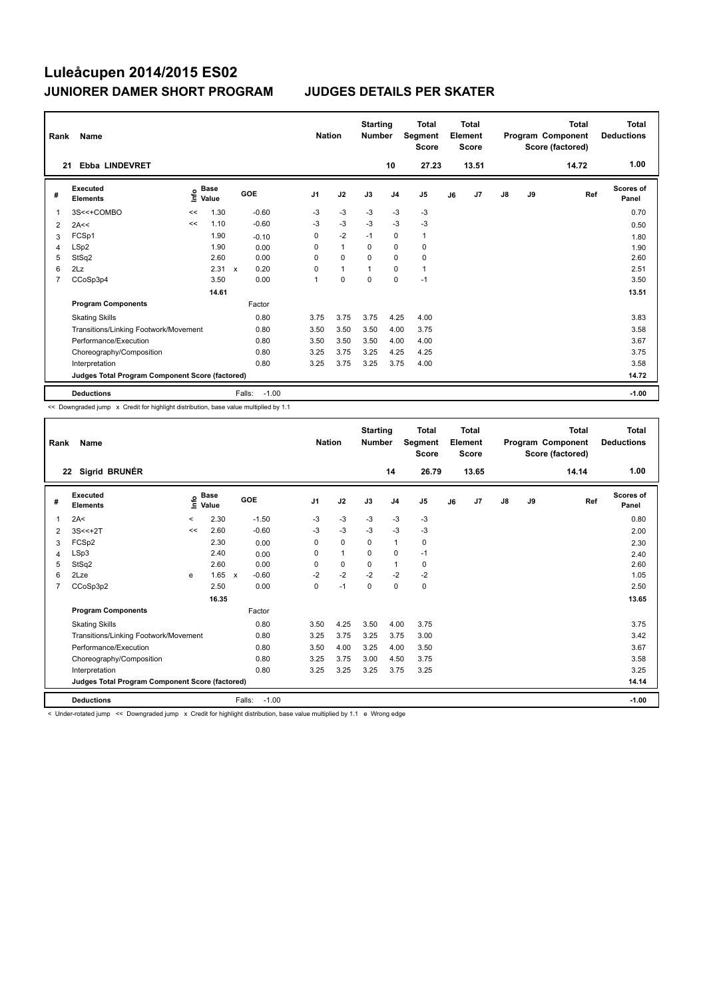| Rank           | Name                                            |      |               |              |            | <b>Nation</b>  |              | <b>Starting</b><br><b>Number</b> |                | <b>Total</b><br>Segment<br><b>Score</b> |    | Total<br>Element<br><b>Score</b> |               |    | Total<br>Program Component<br>Score (factored) | <b>Total</b><br><b>Deductions</b> |
|----------------|-------------------------------------------------|------|---------------|--------------|------------|----------------|--------------|----------------------------------|----------------|-----------------------------------------|----|----------------------------------|---------------|----|------------------------------------------------|-----------------------------------|
| 21             | <b>Ebba LINDEVRET</b>                           |      |               |              |            |                |              |                                  | 10             | 27.23                                   |    | 13.51                            |               |    | 14.72                                          | 1.00                              |
| #              | Executed<br><b>Elements</b>                     | lnfo | Base<br>Value |              | <b>GOE</b> | J <sub>1</sub> | J2           | J3                               | J <sub>4</sub> | J <sub>5</sub>                          | J6 | J7                               | $\mathsf{J}8$ | J9 | Ref                                            | <b>Scores of</b><br>Panel         |
| 1              | 3S<<+COMBO                                      | <<   | 1.30          |              | $-0.60$    | $-3$           | $-3$         | $-3$                             | $-3$           | $-3$                                    |    |                                  |               |    |                                                | 0.70                              |
| 2              | 2A<<                                            | <<   | 1.10          |              | $-0.60$    | $-3$           | $-3$         | $-3$                             | $-3$           | $-3$                                    |    |                                  |               |    |                                                | 0.50                              |
| 3              | FCSp1                                           |      | 1.90          |              | $-0.10$    | 0              | $-2$         | $-1$                             | $\mathbf 0$    | $\mathbf{1}$                            |    |                                  |               |    |                                                | 1.80                              |
| 4              | LSp2                                            |      | 1.90          |              | 0.00       | 0              | $\mathbf{1}$ | 0                                | $\mathbf 0$    | 0                                       |    |                                  |               |    |                                                | 1.90                              |
| 5              | StSq2                                           |      | 2.60          |              | 0.00       | $\Omega$       | $\mathbf 0$  | $\Omega$                         | $\mathbf 0$    | 0                                       |    |                                  |               |    |                                                | 2.60                              |
| 6              | 2Lz                                             |      | 2.31          | $\mathsf{x}$ | 0.20       | $\Omega$       | $\mathbf{1}$ |                                  | 0              | $\mathbf{1}$                            |    |                                  |               |    |                                                | 2.51                              |
| $\overline{7}$ | CCoSp3p4                                        |      | 3.50          |              | 0.00       | 1              | $\mathbf 0$  | $\Omega$                         | $\Omega$       | $-1$                                    |    |                                  |               |    |                                                | 3.50                              |
|                |                                                 |      | 14.61         |              |            |                |              |                                  |                |                                         |    |                                  |               |    |                                                | 13.51                             |
|                | <b>Program Components</b>                       |      |               |              | Factor     |                |              |                                  |                |                                         |    |                                  |               |    |                                                |                                   |
|                | <b>Skating Skills</b>                           |      |               |              | 0.80       | 3.75           | 3.75         | 3.75                             | 4.25           | 4.00                                    |    |                                  |               |    |                                                | 3.83                              |
|                | Transitions/Linking Footwork/Movement           |      |               |              | 0.80       | 3.50           | 3.50         | 3.50                             | 4.00           | 3.75                                    |    |                                  |               |    |                                                | 3.58                              |
|                | Performance/Execution                           |      |               |              | 0.80       | 3.50           | 3.50         | 3.50                             | 4.00           | 4.00                                    |    |                                  |               |    |                                                | 3.67                              |
|                | Choreography/Composition                        |      |               |              | 0.80       | 3.25           | 3.75         | 3.25                             | 4.25           | 4.25                                    |    |                                  |               |    |                                                | 3.75                              |
|                | Interpretation                                  |      |               |              | 0.80       | 3.25           | 3.75         | 3.25                             | 3.75           | 4.00                                    |    |                                  |               |    |                                                | 3.58                              |
|                | Judges Total Program Component Score (factored) |      |               |              |            |                |              |                                  |                |                                         |    |                                  |               |    |                                                | 14.72                             |
|                | <b>Deductions</b>                               |      |               | Falls:       | $-1.00$    |                |              |                                  |                |                                         |    |                                  |               |    |                                                | $-1.00$                           |

<< Downgraded jump x Credit for highlight distribution, base value multiplied by 1.1

| Rank           | Name                                            |       |                      |              |         | <b>Nation</b>  |              | <b>Starting</b><br><b>Number</b> |                | <b>Total</b><br>Segment<br><b>Score</b> |    | Total<br>Element<br><b>Score</b> |               |    | Total<br>Program Component<br>Score (factored) | <b>Total</b><br><b>Deductions</b> |
|----------------|-------------------------------------------------|-------|----------------------|--------------|---------|----------------|--------------|----------------------------------|----------------|-----------------------------------------|----|----------------------------------|---------------|----|------------------------------------------------|-----------------------------------|
|                | Sigrid BRUNÉR<br>22                             |       |                      |              |         |                |              |                                  | 14             | 26.79                                   |    | 13.65                            |               |    | 14.14                                          | 1.00                              |
| #              | <b>Executed</b><br><b>Elements</b>              | ۴o    | <b>Base</b><br>Value |              | GOE     | J <sub>1</sub> | J2           | J3                               | J <sub>4</sub> | J5                                      | J6 | J7                               | $\mathsf{J}8$ | J9 | Ref                                            | <b>Scores of</b><br>Panel         |
| 1              | 2A<                                             | $\,<$ | 2.30                 |              | $-1.50$ | $-3$           | $-3$         | $-3$                             | $-3$           | $-3$                                    |    |                                  |               |    |                                                | 0.80                              |
| 2              | $3S < +2T$                                      | <<    | 2.60                 |              | $-0.60$ | $-3$           | $-3$         | $-3$                             | $-3$           | $-3$                                    |    |                                  |               |    |                                                | 2.00                              |
| 3              | FCSp2                                           |       | 2.30                 |              | 0.00    | 0              | $\mathbf 0$  | 0                                | $\mathbf{1}$   | 0                                       |    |                                  |               |    |                                                | 2.30                              |
| 4              | LSp3                                            |       | 2.40                 |              | 0.00    | 0              | $\mathbf{1}$ | $\Omega$                         | 0              | $-1$                                    |    |                                  |               |    |                                                | 2.40                              |
| 5              | StSq2                                           |       | 2.60                 |              | 0.00    | 0              | 0            | 0                                | $\mathbf{1}$   | 0                                       |    |                                  |               |    |                                                | 2.60                              |
| 6              | 2Lze                                            | e     | 1.65                 | $\mathsf{x}$ | $-0.60$ | $-2$           | $-2$         | $-2$                             | $-2$           | $-2$                                    |    |                                  |               |    |                                                | 1.05                              |
| $\overline{7}$ | CCoSp3p2                                        |       | 2.50                 |              | 0.00    | $\Omega$       | $-1$         | $\Omega$                         | $\Omega$       | 0                                       |    |                                  |               |    |                                                | 2.50                              |
|                |                                                 |       | 16.35                |              |         |                |              |                                  |                |                                         |    |                                  |               |    |                                                | 13.65                             |
|                | <b>Program Components</b>                       |       |                      |              | Factor  |                |              |                                  |                |                                         |    |                                  |               |    |                                                |                                   |
|                | <b>Skating Skills</b>                           |       |                      |              | 0.80    | 3.50           | 4.25         | 3.50                             | 4.00           | 3.75                                    |    |                                  |               |    |                                                | 3.75                              |
|                | Transitions/Linking Footwork/Movement           |       |                      |              | 0.80    | 3.25           | 3.75         | 3.25                             | 3.75           | 3.00                                    |    |                                  |               |    |                                                | 3.42                              |
|                | Performance/Execution                           |       |                      |              | 0.80    | 3.50           | 4.00         | 3.25                             | 4.00           | 3.50                                    |    |                                  |               |    |                                                | 3.67                              |
|                | Choreography/Composition                        |       |                      |              | 0.80    | 3.25           | 3.75         | 3.00                             | 4.50           | 3.75                                    |    |                                  |               |    |                                                | 3.58                              |
|                | Interpretation                                  |       |                      |              | 0.80    | 3.25           | 3.25         | 3.25                             | 3.75           | 3.25                                    |    |                                  |               |    |                                                | 3.25                              |
|                | Judges Total Program Component Score (factored) |       |                      |              |         |                |              |                                  |                |                                         |    |                                  |               |    |                                                | 14.14                             |
|                | <b>Deductions</b>                               |       |                      | Falls:       | $-1.00$ |                |              |                                  |                |                                         |    |                                  |               |    |                                                | $-1.00$                           |
|                |                                                 |       |                      |              |         |                | .            | $\cdots$                         |                |                                         |    |                                  |               |    |                                                |                                   |

<< Downgraded jump x Credit for highlight distribution, base value multiplied by 1.1 e Wrong edge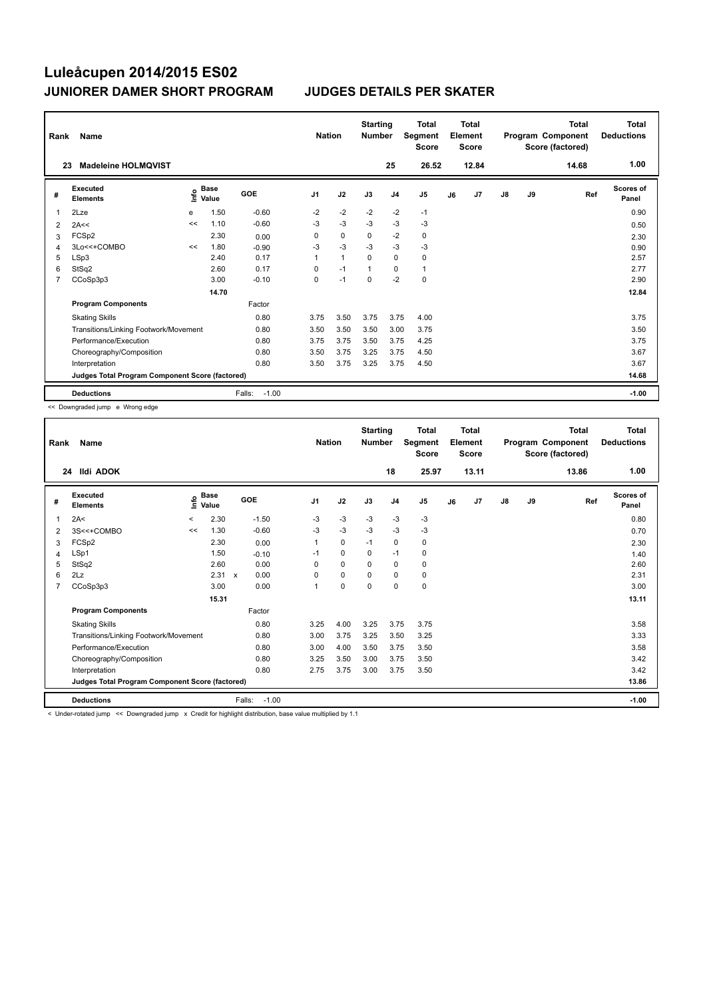| Rank           | <b>Name</b>                                     |      |                      |                   | <b>Nation</b>  |              | <b>Starting</b><br><b>Number</b> |                | Total<br>Segment<br><b>Score</b> |    | <b>Total</b><br>Element<br>Score |               |    | <b>Total</b><br>Program Component<br>Score (factored) | <b>Total</b><br><b>Deductions</b> |
|----------------|-------------------------------------------------|------|----------------------|-------------------|----------------|--------------|----------------------------------|----------------|----------------------------------|----|----------------------------------|---------------|----|-------------------------------------------------------|-----------------------------------|
| 23             | <b>Madeleine HOLMQVIST</b>                      |      |                      |                   |                |              |                                  | 25             | 26.52                            |    | 12.84                            |               |    | 14.68                                                 | 1.00                              |
| #              | Executed<br><b>Elements</b>                     | ١nf٥ | <b>Base</b><br>Value | GOE               | J <sub>1</sub> | J2           | J3                               | J <sub>4</sub> | J <sub>5</sub>                   | J6 | J <sub>7</sub>                   | $\mathsf{J}8$ | J9 | Ref                                                   | <b>Scores of</b><br>Panel         |
| 1              | 2Lze                                            | е    | 1.50                 | $-0.60$           | $-2$           | $-2$         | $-2$                             | $-2$           | $-1$                             |    |                                  |               |    |                                                       | 0.90                              |
| 2              | 2A<<                                            | <<   | 1.10                 | $-0.60$           | $-3$           | $-3$         | $-3$                             | $-3$           | $-3$                             |    |                                  |               |    |                                                       | 0.50                              |
| 3              | FCSp2                                           |      | 2.30                 | 0.00              | 0              | $\mathbf 0$  | $\mathbf 0$                      | $-2$           | $\mathbf 0$                      |    |                                  |               |    |                                                       | 2.30                              |
| $\overline{4}$ | 3Lo<<+COMBO                                     | <<   | 1.80                 | $-0.90$           | $-3$           | $-3$         | $-3$                             | $-3$           | $-3$                             |    |                                  |               |    |                                                       | 0.90                              |
| 5              | LSp3                                            |      | 2.40                 | 0.17              | $\mathbf{1}$   | $\mathbf{1}$ | 0                                | $\mathbf 0$    | 0                                |    |                                  |               |    |                                                       | 2.57                              |
| 6              | StSq2                                           |      | 2.60                 | 0.17              | $\Omega$       | $-1$         | $\mathbf{1}$                     | 0              | $\mathbf{1}$                     |    |                                  |               |    |                                                       | 2.77                              |
| $\overline{7}$ | CCoSp3p3                                        |      | 3.00                 | $-0.10$           | 0              | $-1$         | $\mathbf 0$                      | $-2$           | $\mathbf 0$                      |    |                                  |               |    |                                                       | 2.90                              |
|                |                                                 |      | 14.70                |                   |                |              |                                  |                |                                  |    |                                  |               |    |                                                       | 12.84                             |
|                | <b>Program Components</b>                       |      |                      | Factor            |                |              |                                  |                |                                  |    |                                  |               |    |                                                       |                                   |
|                | <b>Skating Skills</b>                           |      |                      | 0.80              | 3.75           | 3.50         | 3.75                             | 3.75           | 4.00                             |    |                                  |               |    |                                                       | 3.75                              |
|                | Transitions/Linking Footwork/Movement           |      |                      | 0.80              | 3.50           | 3.50         | 3.50                             | 3.00           | 3.75                             |    |                                  |               |    |                                                       | 3.50                              |
|                | Performance/Execution                           |      |                      | 0.80              | 3.75           | 3.75         | 3.50                             | 3.75           | 4.25                             |    |                                  |               |    |                                                       | 3.75                              |
|                | Choreography/Composition                        |      |                      | 0.80              | 3.50           | 3.75         | 3.25                             | 3.75           | 4.50                             |    |                                  |               |    |                                                       | 3.67                              |
|                | Interpretation                                  |      |                      | 0.80              | 3.50           | 3.75         | 3.25                             | 3.75           | 4.50                             |    |                                  |               |    |                                                       | 3.67                              |
|                | Judges Total Program Component Score (factored) |      |                      |                   |                |              |                                  |                |                                  |    |                                  |               |    |                                                       | 14.68                             |
|                | <b>Deductions</b>                               |      |                      | $-1.00$<br>Falls: |                |              |                                  |                |                                  |    |                                  |               |    |                                                       | $-1.00$                           |

<< Downgraded jump e Wrong edge

| Rank           | Name                                            |         | <b>Nation</b>        |        | <b>Starting</b><br><b>Number</b> |                | <b>Total</b><br>Segment<br><b>Score</b> |          | <b>Total</b><br>Element<br><b>Score</b> |                |    | <b>Total</b><br>Program Component<br>Score (factored) | <b>Total</b><br><b>Deductions</b> |    |       |                           |
|----------------|-------------------------------------------------|---------|----------------------|--------|----------------------------------|----------------|-----------------------------------------|----------|-----------------------------------------|----------------|----|-------------------------------------------------------|-----------------------------------|----|-------|---------------------------|
|                | <b>Ildi ADOK</b><br>24                          |         |                      |        |                                  |                |                                         |          | 18                                      | 25.97          |    | 13.11                                                 |                                   |    | 13.86 | 1.00                      |
| #              | <b>Executed</b><br><b>Elements</b>              | Life    | <b>Base</b><br>Value |        | GOE                              | J <sub>1</sub> | J2                                      | J3       | J <sub>4</sub>                          | J <sub>5</sub> | J6 | J7                                                    | J8                                | J9 | Ref   | <b>Scores of</b><br>Panel |
| 1              | 2A<                                             | $\,<\,$ | 2.30                 |        | $-1.50$                          | $-3$           | $-3$                                    | $-3$     | $-3$                                    | $-3$           |    |                                                       |                                   |    |       | 0.80                      |
| 2              | 3S<<+COMBO                                      | <<      | 1.30                 |        | $-0.60$                          | $-3$           | $-3$                                    | $-3$     | $-3$                                    | $-3$           |    |                                                       |                                   |    |       | 0.70                      |
| 3              | FCSp2                                           |         | 2.30                 |        | 0.00                             | 1              | $\mathbf 0$                             | $-1$     | $\mathbf 0$                             | 0              |    |                                                       |                                   |    |       | 2.30                      |
| 4              | LSp1                                            |         | 1.50                 |        | $-0.10$                          | $-1$           | $\Omega$                                | $\Omega$ | $-1$                                    | 0              |    |                                                       |                                   |    |       | 1.40                      |
| 5              | StSq2                                           |         | 2.60                 |        | 0.00                             | 0              | $\mathbf 0$                             | 0        | $\mathbf 0$                             | 0              |    |                                                       |                                   |    |       | 2.60                      |
| 6              | 2Lz                                             |         | 2.31 x               |        | 0.00                             | $\Omega$       | $\mathbf 0$                             | $\Omega$ | 0                                       | 0              |    |                                                       |                                   |    |       | 2.31                      |
| $\overline{7}$ | CCoSp3p3                                        |         | 3.00                 |        | 0.00                             | 1              | $\mathbf 0$                             | $\Omega$ | $\mathbf 0$                             | 0              |    |                                                       |                                   |    |       | 3.00                      |
|                |                                                 |         | 15.31                |        |                                  |                |                                         |          |                                         |                |    |                                                       |                                   |    |       | 13.11                     |
|                | <b>Program Components</b>                       |         |                      |        | Factor                           |                |                                         |          |                                         |                |    |                                                       |                                   |    |       |                           |
|                | <b>Skating Skills</b>                           |         |                      |        | 0.80                             | 3.25           | 4.00                                    | 3.25     | 3.75                                    | 3.75           |    |                                                       |                                   |    |       | 3.58                      |
|                | Transitions/Linking Footwork/Movement           |         |                      |        | 0.80                             | 3.00           | 3.75                                    | 3.25     | 3.50                                    | 3.25           |    |                                                       |                                   |    |       | 3.33                      |
|                | Performance/Execution                           |         |                      |        | 0.80                             | 3.00           | 4.00                                    | 3.50     | 3.75                                    | 3.50           |    |                                                       |                                   |    |       | 3.58                      |
|                | Choreography/Composition                        |         |                      |        | 0.80                             | 3.25           | 3.50                                    | 3.00     | 3.75                                    | 3.50           |    |                                                       |                                   |    |       | 3.42                      |
|                | Interpretation                                  |         |                      |        | 0.80                             | 2.75           | 3.75                                    | 3.00     | 3.75                                    | 3.50           |    |                                                       |                                   |    |       | 3.42                      |
|                | Judges Total Program Component Score (factored) |         |                      |        |                                  |                |                                         |          |                                         |                |    |                                                       |                                   |    |       | 13.86                     |
|                | <b>Deductions</b>                               |         |                      | Falls: | $-1.00$                          |                |                                         |          |                                         |                |    |                                                       |                                   |    |       | $-1.00$                   |
|                |                                                 |         |                      |        |                                  | .              |                                         |          |                                         |                |    |                                                       |                                   |    |       |                           |

<< Downgraded jump x Credit for highlight distribution, base value multiplied by 1.1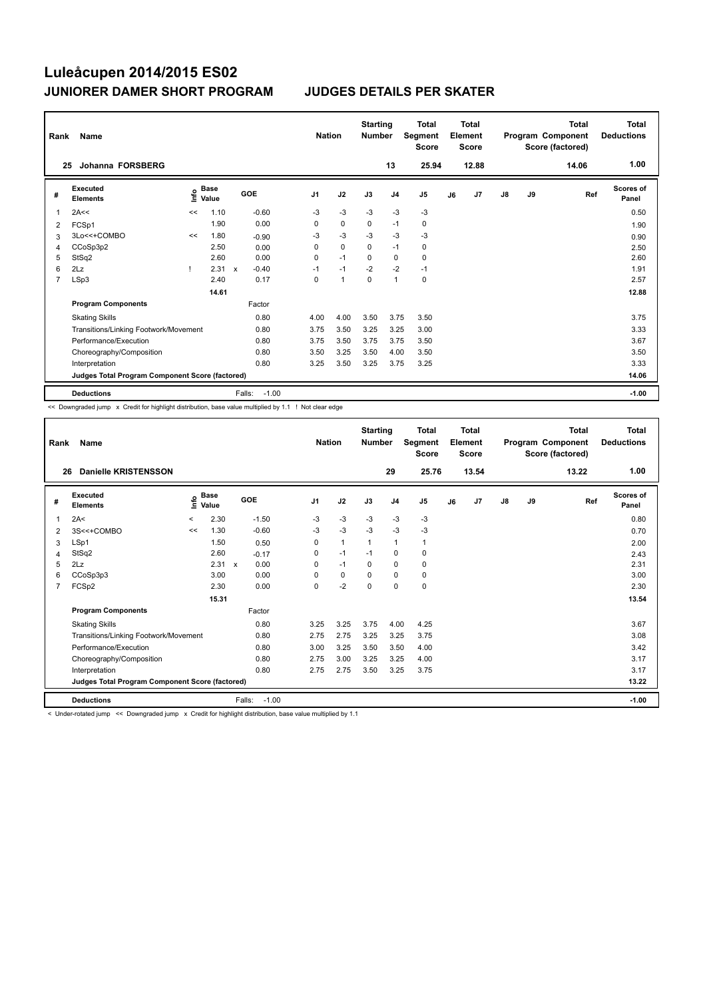| Rank                                            | Name                                  |      |                      |              |         | <b>Nation</b>  |                | <b>Starting</b><br><b>Number</b> |                | <b>Total</b><br>Segment<br><b>Score</b> |    | <b>Total</b><br>Element<br><b>Score</b> |               |    | Total<br>Program Component<br>Score (factored) | Total<br><b>Deductions</b> |
|-------------------------------------------------|---------------------------------------|------|----------------------|--------------|---------|----------------|----------------|----------------------------------|----------------|-----------------------------------------|----|-----------------------------------------|---------------|----|------------------------------------------------|----------------------------|
|                                                 | Johanna FORSBERG<br>25                |      |                      |              |         |                |                |                                  | 13             | 25.94                                   |    | 12.88                                   |               |    | 14.06                                          | 1.00                       |
| #                                               | Executed<br><b>Elements</b>           | lnfo | <b>Base</b><br>Value |              | GOE     | J <sub>1</sub> | J2             | J3                               | J <sub>4</sub> | J <sub>5</sub>                          | J6 | J7                                      | $\mathsf{J}8$ | J9 | Ref                                            | <b>Scores of</b><br>Panel  |
| $\overline{1}$                                  | 2A<<                                  | <<   | 1.10                 |              | $-0.60$ | -3             | $-3$           | $-3$                             | $-3$           | $-3$                                    |    |                                         |               |    |                                                | 0.50                       |
| 2                                               | FCSp1                                 |      | 1.90                 |              | 0.00    | 0              | $\mathbf 0$    | $\mathbf 0$                      | $-1$           | 0                                       |    |                                         |               |    |                                                | 1.90                       |
| 3                                               | 3Lo<<+COMBO                           | <<   | 1.80                 |              | $-0.90$ | -3             | $-3$           | $-3$                             | $-3$           | $-3$                                    |    |                                         |               |    |                                                | 0.90                       |
| 4                                               | CCoSp3p2                              |      | 2.50                 |              | 0.00    | 0              | 0              | 0                                | $-1$           | 0                                       |    |                                         |               |    |                                                | 2.50                       |
| 5                                               | StSq2                                 |      | 2.60                 |              | 0.00    | $\mathbf 0$    | $-1$           | $\Omega$                         | $\mathbf 0$    | $\mathbf 0$                             |    |                                         |               |    |                                                | 2.60                       |
| 6                                               | 2Lz                                   |      | 2.31                 | $\mathsf{x}$ | $-0.40$ | $-1$           | $-1$           | $-2$                             | $-2$           | $-1$                                    |    |                                         |               |    |                                                | 1.91                       |
| $\overline{7}$                                  | LSp3                                  |      | 2.40                 |              | 0.17    | 0              | $\overline{1}$ | 0                                | $\mathbf{1}$   | $\pmb{0}$                               |    |                                         |               |    |                                                | 2.57                       |
|                                                 |                                       |      | 14.61                |              |         |                |                |                                  |                |                                         |    |                                         |               |    |                                                | 12.88                      |
|                                                 | <b>Program Components</b>             |      |                      |              | Factor  |                |                |                                  |                |                                         |    |                                         |               |    |                                                |                            |
|                                                 | <b>Skating Skills</b>                 |      |                      |              | 0.80    | 4.00           | 4.00           | 3.50                             | 3.75           | 3.50                                    |    |                                         |               |    |                                                | 3.75                       |
|                                                 | Transitions/Linking Footwork/Movement |      |                      |              | 0.80    | 3.75           | 3.50           | 3.25                             | 3.25           | 3.00                                    |    |                                         |               |    |                                                | 3.33                       |
|                                                 | Performance/Execution                 |      |                      |              | 0.80    | 3.75           | 3.50           | 3.75                             | 3.75           | 3.50                                    |    |                                         |               |    |                                                | 3.67                       |
|                                                 | Choreography/Composition              |      |                      |              | 0.80    | 3.50           | 3.25           | 3.50                             | 4.00           | 3.50                                    |    |                                         |               |    |                                                | 3.50                       |
|                                                 | Interpretation                        |      |                      |              | 0.80    | 3.25           | 3.50           | 3.25                             | 3.75           | 3.25                                    |    |                                         |               |    |                                                | 3.33                       |
| Judges Total Program Component Score (factored) |                                       |      |                      |              |         |                |                |                                  |                |                                         |    | 14.06                                   |               |    |                                                |                            |
|                                                 | <b>Deductions</b>                     |      |                      | Falls:       | $-1.00$ |                |                |                                  |                |                                         |    |                                         |               |    |                                                | $-1.00$                    |

<< Downgraded jump x Credit for highlight distribution, base value multiplied by 1.1 ! Not clear edge

| Rank           | Name                                            | <b>Nation</b> |                      | <b>Starting</b><br><b>Number</b> |                | <b>Total</b><br>Segment<br><b>Score</b> | Total<br>Element<br><b>Score</b> |                | Total<br>Program Component<br>Score (factored) |    |       | <b>Total</b><br><b>Deductions</b> |    |       |                           |
|----------------|-------------------------------------------------|---------------|----------------------|----------------------------------|----------------|-----------------------------------------|----------------------------------|----------------|------------------------------------------------|----|-------|-----------------------------------|----|-------|---------------------------|
| 26             | <b>Danielle KRISTENSSON</b>                     |               |                      |                                  |                |                                         |                                  | 29             | 25.76                                          |    | 13.54 |                                   |    | 13.22 | 1.00                      |
| #              | Executed<br><b>Elements</b>                     | ۴o            | <b>Base</b><br>Value | <b>GOE</b>                       | J <sub>1</sub> | J2                                      | J3                               | J <sub>4</sub> | J5                                             | J6 | J7    | $\mathsf{J}8$                     | J9 | Ref   | <b>Scores of</b><br>Panel |
| 1              | 2A<                                             | $\prec$       | 2.30                 | $-1.50$                          | $-3$           | $-3$                                    | $-3$                             | $-3$           | $-3$                                           |    |       |                                   |    |       | 0.80                      |
| 2              | 3S<<+COMBO                                      | <<            | 1.30                 | $-0.60$                          | -3             | $-3$                                    | $-3$                             | $-3$           | $-3$                                           |    |       |                                   |    |       | 0.70                      |
| 3              | LSp1                                            |               | 1.50                 | 0.50                             | 0              | $\mathbf{1}$                            | $\mathbf{1}$                     | $\mathbf{1}$   | 1                                              |    |       |                                   |    |       | 2.00                      |
| 4              | StSq2                                           |               | 2.60                 | $-0.17$                          | 0              | $-1$                                    | $-1$                             | $\mathbf 0$    | 0                                              |    |       |                                   |    |       | 2.43                      |
| 5              | 2Lz                                             |               | 2.31                 | 0.00<br>$\mathsf{x}$             | $\Omega$       | $-1$                                    | $\Omega$                         | $\Omega$       | 0                                              |    |       |                                   |    |       | 2.31                      |
| 6              | CCoSp3p3                                        |               | 3.00                 | 0.00                             | 0              | $\pmb{0}$                               | 0                                | $\mathbf 0$    | 0                                              |    |       |                                   |    |       | 3.00                      |
| $\overline{7}$ | FCSp2                                           |               | 2.30                 | 0.00                             | $\Omega$       | $-2$                                    | $\Omega$                         | $\Omega$       | 0                                              |    |       |                                   |    |       | 2.30                      |
|                |                                                 |               | 15.31                |                                  |                |                                         |                                  |                |                                                |    |       |                                   |    |       | 13.54                     |
|                | <b>Program Components</b>                       |               |                      | Factor                           |                |                                         |                                  |                |                                                |    |       |                                   |    |       |                           |
|                | <b>Skating Skills</b>                           |               |                      | 0.80                             | 3.25           | 3.25                                    | 3.75                             | 4.00           | 4.25                                           |    |       |                                   |    |       | 3.67                      |
|                | Transitions/Linking Footwork/Movement           |               |                      | 0.80                             | 2.75           | 2.75                                    | 3.25                             | 3.25           | 3.75                                           |    |       |                                   |    |       | 3.08                      |
|                | Performance/Execution                           |               |                      | 0.80                             | 3.00           | 3.25                                    | 3.50                             | 3.50           | 4.00                                           |    |       |                                   |    |       | 3.42                      |
|                | Choreography/Composition                        |               |                      | 0.80                             | 2.75           | 3.00                                    | 3.25                             | 3.25           | 4.00                                           |    |       |                                   |    |       | 3.17                      |
|                | Interpretation                                  |               |                      | 0.80                             | 2.75           | 2.75                                    | 3.50                             | 3.25           | 3.75                                           |    |       |                                   |    |       | 3.17                      |
|                | Judges Total Program Component Score (factored) |               |                      |                                  |                |                                         |                                  |                |                                                |    |       |                                   |    |       | 13.22                     |
|                | <b>Deductions</b>                               |               |                      | Falls:<br>$-1.00$                |                |                                         |                                  |                |                                                |    |       |                                   |    |       | $-1.00$                   |

< Under-rotated jump << Downgraded jump x Credit for highlight distribution, base value multiplied by 1.1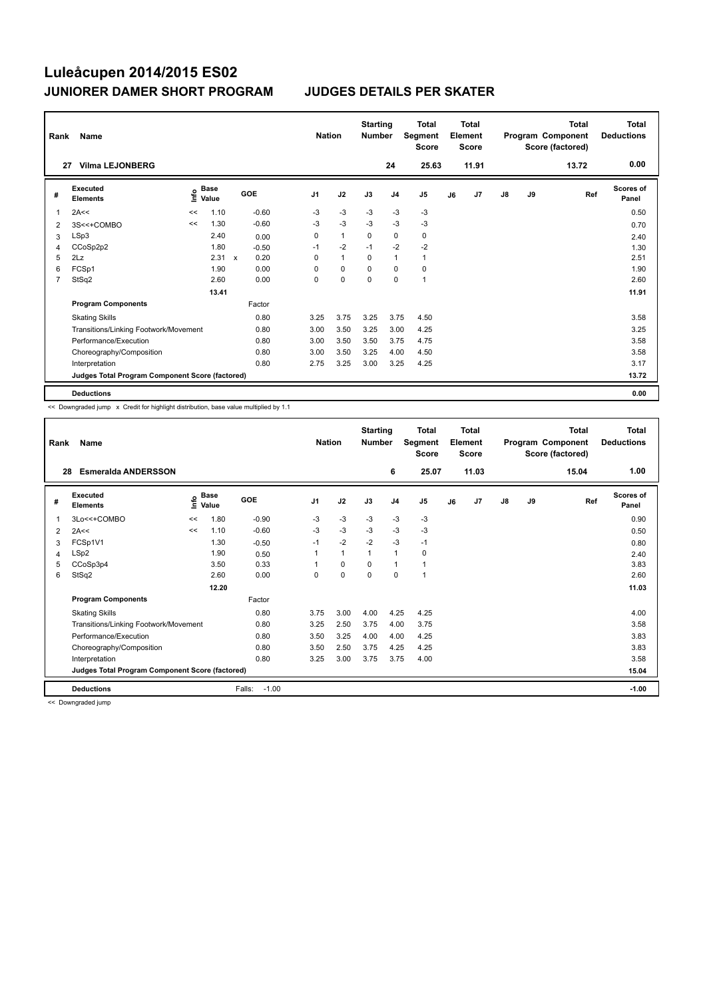| Rank           | Name                                            |    | <b>Nation</b>                      |              | <b>Starting</b><br><b>Total</b><br>Segment<br><b>Number</b><br><b>Score</b> |                | <b>Total</b><br>Element<br><b>Score</b> |             |                |                | Total<br>Program Component<br>Score (factored) | Total<br><b>Deductions</b> |               |    |       |                           |
|----------------|-------------------------------------------------|----|------------------------------------|--------------|-----------------------------------------------------------------------------|----------------|-----------------------------------------|-------------|----------------|----------------|------------------------------------------------|----------------------------|---------------|----|-------|---------------------------|
| 27             | <b>Vilma LEJONBERG</b>                          |    |                                    |              |                                                                             |                |                                         |             | 24             | 25.63          |                                                | 11.91                      |               |    | 13.72 | 0.00                      |
| #              | Executed<br><b>Elements</b>                     |    | <b>Base</b><br>$\frac{6}{5}$ Value |              | GOE                                                                         | J <sub>1</sub> | J2                                      | J3          | J <sub>4</sub> | J <sub>5</sub> | J6                                             | J7                         | $\mathsf{J}8$ | J9 | Ref   | <b>Scores of</b><br>Panel |
| $\overline{1}$ | 2A<<                                            | << | 1.10                               |              | $-0.60$                                                                     | -3             | $-3$                                    | -3          | -3             | $-3$           |                                                |                            |               |    |       | 0.50                      |
| 2              | 3S<<+COMBO                                      | << | 1.30                               |              | $-0.60$                                                                     | $-3$           | $-3$                                    | $-3$        | $-3$           | $-3$           |                                                |                            |               |    |       | 0.70                      |
| 3              | LSp3                                            |    | 2.40                               |              | 0.00                                                                        | 0              | $\mathbf{1}$                            | 0           | $\mathbf 0$    | 0              |                                                |                            |               |    |       | 2.40                      |
| 4              | CCoSp2p2                                        |    | 1.80                               |              | $-0.50$                                                                     | $-1$           | $-2$                                    | $-1$        | $-2$           | $-2$           |                                                |                            |               |    |       | 1.30                      |
| 5              | 2Lz                                             |    | 2.31                               | $\mathsf{x}$ | 0.20                                                                        | $\Omega$       | $\mathbf{1}$                            | $\Omega$    | $\mathbf{1}$   | 1              |                                                |                            |               |    |       | 2.51                      |
| 6              | FCSp1                                           |    | 1.90                               |              | 0.00                                                                        | 0              | $\mathbf 0$                             | 0           | $\mathbf 0$    | 0              |                                                |                            |               |    |       | 1.90                      |
| $\overline{7}$ | StSq2                                           |    | 2.60                               |              | 0.00                                                                        | 0              | $\mathbf 0$                             | $\mathbf 0$ | $\mathbf 0$    | $\mathbf{1}$   |                                                |                            |               |    |       | 2.60                      |
|                |                                                 |    | 13.41                              |              |                                                                             |                |                                         |             |                |                |                                                |                            |               |    |       | 11.91                     |
|                | <b>Program Components</b>                       |    |                                    |              | Factor                                                                      |                |                                         |             |                |                |                                                |                            |               |    |       |                           |
|                | <b>Skating Skills</b>                           |    |                                    |              | 0.80                                                                        | 3.25           | 3.75                                    | 3.25        | 3.75           | 4.50           |                                                |                            |               |    |       | 3.58                      |
|                | Transitions/Linking Footwork/Movement           |    |                                    |              | 0.80                                                                        | 3.00           | 3.50                                    | 3.25        | 3.00           | 4.25           |                                                |                            |               |    |       | 3.25                      |
|                | Performance/Execution                           |    |                                    |              | 0.80                                                                        | 3.00           | 3.50                                    | 3.50        | 3.75           | 4.75           |                                                |                            |               |    |       | 3.58                      |
|                | Choreography/Composition                        |    |                                    |              | 0.80                                                                        | 3.00           | 3.50                                    | 3.25        | 4.00           | 4.50           |                                                |                            |               |    |       | 3.58                      |
|                | Interpretation                                  |    |                                    |              | 0.80                                                                        | 2.75           | 3.25                                    | 3.00        | 3.25           | 4.25           |                                                |                            |               |    |       | 3.17                      |
|                | Judges Total Program Component Score (factored) |    |                                    |              |                                                                             |                |                                         |             |                |                |                                                |                            |               |    |       | 13.72                     |
|                | <b>Deductions</b>                               |    |                                    |              |                                                                             |                |                                         |             |                |                |                                                |                            |               |    |       | 0.00                      |

<< Downgraded jump x Credit for highlight distribution, base value multiplied by 1.1

| Rank | Name                                            | <b>Nation</b> |                      | <b>Starting</b><br><b>Number</b> |                | <b>Total</b><br>Segment<br><b>Score</b> | <b>Total</b><br>Element<br><b>Score</b> |                | Total<br>Program Component<br>Score (factored) |    |                | <b>Total</b><br><b>Deductions</b> |    |       |                           |
|------|-------------------------------------------------|---------------|----------------------|----------------------------------|----------------|-----------------------------------------|-----------------------------------------|----------------|------------------------------------------------|----|----------------|-----------------------------------|----|-------|---------------------------|
| 28   | <b>Esmeralda ANDERSSON</b>                      |               |                      |                                  |                |                                         |                                         | 6              | 25.07                                          |    | 11.03          |                                   |    | 15.04 | 1.00                      |
| #    | Executed<br><b>Elements</b>                     | ۴ô            | <b>Base</b><br>Value | GOE                              | J <sub>1</sub> | J2                                      | J3                                      | J <sub>4</sub> | J <sub>5</sub>                                 | J6 | J <sub>7</sub> | $\mathsf{J}8$                     | J9 | Ref   | <b>Scores of</b><br>Panel |
| 1    | 3Lo<<+COMBO                                     | <<            | 1.80                 | $-0.90$                          | $-3$           | $-3$                                    | $-3$                                    | $-3$           | $-3$                                           |    |                |                                   |    |       | 0.90                      |
| 2    | 2A<<                                            | <<            | 1.10                 | $-0.60$                          | $-3$           | $-3$                                    | $-3$                                    | $-3$           | $-3$                                           |    |                |                                   |    |       | 0.50                      |
| 3    | FCSp1V1                                         |               | 1.30                 | $-0.50$                          | $-1$           | $-2$                                    | $-2$                                    | $-3$           | $-1$                                           |    |                |                                   |    |       | 0.80                      |
| 4    | LSp2                                            |               | 1.90                 | 0.50                             |                | $\mathbf{1}$                            | 1                                       | $\mathbf{1}$   | 0                                              |    |                |                                   |    |       | 2.40                      |
| 5    | CCoSp3p4                                        |               | 3.50                 | 0.33                             |                | 0                                       | $\Omega$                                | $\mathbf{1}$   |                                                |    |                |                                   |    |       | 3.83                      |
| 6    | StSq2                                           |               | 2.60                 | 0.00                             | $\Omega$       | $\mathbf 0$                             | $\Omega$                                | $\mathbf 0$    | 1                                              |    |                |                                   |    |       | 2.60                      |
|      |                                                 |               | 12.20                |                                  |                |                                         |                                         |                |                                                |    |                |                                   |    |       | 11.03                     |
|      | <b>Program Components</b>                       |               |                      | Factor                           |                |                                         |                                         |                |                                                |    |                |                                   |    |       |                           |
|      | <b>Skating Skills</b>                           |               |                      | 0.80                             | 3.75           | 3.00                                    | 4.00                                    | 4.25           | 4.25                                           |    |                |                                   |    |       | 4.00                      |
|      | Transitions/Linking Footwork/Movement           |               |                      | 0.80                             | 3.25           | 2.50                                    | 3.75                                    | 4.00           | 3.75                                           |    |                |                                   |    |       | 3.58                      |
|      | Performance/Execution                           |               |                      | 0.80                             | 3.50           | 3.25                                    | 4.00                                    | 4.00           | 4.25                                           |    |                |                                   |    |       | 3.83                      |
|      | Choreography/Composition                        |               |                      | 0.80                             | 3.50           | 2.50                                    | 3.75                                    | 4.25           | 4.25                                           |    |                |                                   |    |       | 3.83                      |
|      | Interpretation                                  |               |                      | 0.80                             | 3.25           | 3.00                                    | 3.75                                    | 3.75           | 4.00                                           |    |                |                                   |    |       | 3.58                      |
|      | Judges Total Program Component Score (factored) |               |                      |                                  |                |                                         |                                         |                |                                                |    |                |                                   |    |       | 15.04                     |
|      | <b>Deductions</b>                               |               |                      | Falls:<br>$-1.00$                |                |                                         |                                         |                |                                                |    |                |                                   |    |       | $-1.00$                   |

<< Downgraded jump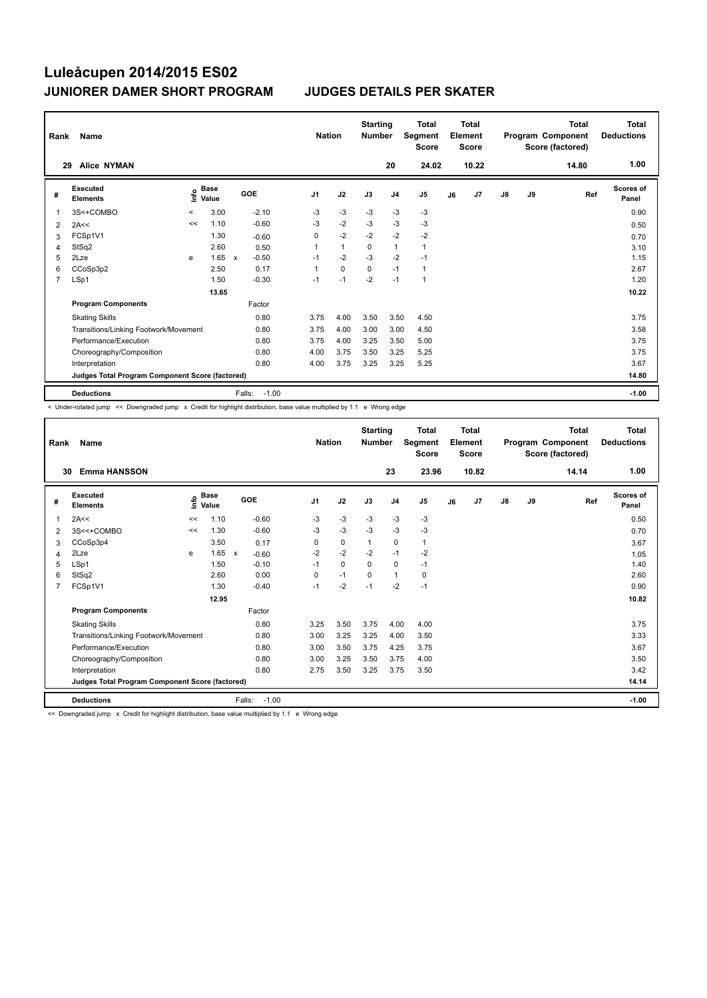| Rank                                            | Name                                  | <b>Nation</b> |                      | <b>Starting</b><br><b>Number</b> |         | <b>Total</b><br>Segment<br><b>Score</b> |              | <b>Total</b><br>Element<br><b>Score</b> |                |                | <b>Total</b><br>Program Component<br>Score (factored) | Total<br><b>Deductions</b> |               |    |       |                    |
|-------------------------------------------------|---------------------------------------|---------------|----------------------|----------------------------------|---------|-----------------------------------------|--------------|-----------------------------------------|----------------|----------------|-------------------------------------------------------|----------------------------|---------------|----|-------|--------------------|
| 29                                              | <b>Alice NYMAN</b>                    |               |                      |                                  |         |                                         |              |                                         | 20             | 24.02          |                                                       | 10.22                      |               |    | 14.80 | 1.00               |
| #                                               | Executed<br><b>Elements</b>           | ١nf٥          | <b>Base</b><br>Value | GOE                              |         | J <sub>1</sub>                          | J2           | J3                                      | J <sub>4</sub> | J <sub>5</sub> | J6                                                    | J7                         | $\mathsf{J}8$ | J9 | Ref   | Scores of<br>Panel |
| 1                                               | 3S<+COMBO                             | $\prec$       | 3.00                 |                                  | $-2.10$ | $-3$                                    | $-3$         | $-3$                                    | -3             | -3             |                                                       |                            |               |    |       | 0.90               |
| 2                                               | 2A<<                                  | <<            | 1.10                 |                                  | $-0.60$ | $-3$                                    | $-2$         | $-3$                                    | $-3$           | $-3$           |                                                       |                            |               |    |       | 0.50               |
| 3                                               | FCSp1V1                               |               | 1.30                 |                                  | $-0.60$ | 0                                       | $-2$         | $-2$                                    | $-2$           | $-2$           |                                                       |                            |               |    |       | 0.70               |
| 4                                               | StSq2                                 |               | 2.60                 |                                  | 0.50    | 1                                       | $\mathbf{1}$ | 0                                       | $\mathbf{1}$   | $\mathbf{1}$   |                                                       |                            |               |    |       | 3.10               |
| 5                                               | 2Lze                                  | e             | 1.65                 | $\mathsf{x}$                     | $-0.50$ | $-1$                                    | $-2$         | $-3$                                    | $-2$           | $-1$           |                                                       |                            |               |    |       | 1.15               |
| 6                                               | CCoSp3p2                              |               | 2.50                 |                                  | 0.17    | 1                                       | $\mathbf 0$  | $\mathbf 0$                             | $-1$           | 1              |                                                       |                            |               |    |       | 2.67               |
| $\overline{7}$                                  | LSp1                                  |               | 1.50                 |                                  | $-0.30$ | $-1$                                    | $-1$         | $-2$                                    | $-1$           | $\mathbf{1}$   |                                                       |                            |               |    |       | 1.20               |
|                                                 |                                       |               | 13.65                |                                  |         |                                         |              |                                         |                |                |                                                       |                            |               |    |       | 10.22              |
|                                                 | <b>Program Components</b>             |               |                      |                                  | Factor  |                                         |              |                                         |                |                |                                                       |                            |               |    |       |                    |
|                                                 | <b>Skating Skills</b>                 |               |                      |                                  | 0.80    | 3.75                                    | 4.00         | 3.50                                    | 3.50           | 4.50           |                                                       |                            |               |    |       | 3.75               |
|                                                 | Transitions/Linking Footwork/Movement |               |                      |                                  | 0.80    | 3.75                                    | 4.00         | 3.00                                    | 3.00           | 4.50           |                                                       |                            |               |    |       | 3.58               |
|                                                 | Performance/Execution                 |               |                      |                                  | 0.80    | 3.75                                    | 4.00         | 3.25                                    | 3.50           | 5.00           |                                                       |                            |               |    |       | 3.75               |
|                                                 | Choreography/Composition              |               |                      |                                  | 0.80    | 4.00                                    | 3.75         | 3.50                                    | 3.25           | 5.25           |                                                       |                            |               |    |       | 3.75               |
|                                                 | Interpretation                        |               |                      |                                  | 0.80    | 4.00                                    | 3.75         | 3.25                                    | 3.25           | 5.25           |                                                       |                            |               |    |       | 3.67               |
| Judges Total Program Component Score (factored) |                                       |               |                      |                                  |         |                                         |              |                                         |                |                |                                                       |                            | 14.80         |    |       |                    |
|                                                 | <b>Deductions</b>                     |               |                      | Falls:                           | $-1.00$ |                                         |              |                                         |                |                |                                                       |                            |               |    |       | $-1.00$            |

< Under-rotated jump << Downgraded jump x Credit for highlight distribution, base value multiplied by 1.1 e Wrong edge

| Rank           | Name                                            | <b>Nation</b> |                      | <b>Starting</b><br><b>Number</b>     |                | <b>Total</b><br>Segment<br><b>Score</b> |              | Total<br>Element<br><b>Score</b> |                |    | Total<br>Program Component<br>Score (factored) | <b>Total</b><br><b>Deductions</b> |      |       |                    |
|----------------|-------------------------------------------------|---------------|----------------------|--------------------------------------|----------------|-----------------------------------------|--------------|----------------------------------|----------------|----|------------------------------------------------|-----------------------------------|------|-------|--------------------|
| 30             | <b>Emma HANSSON</b>                             |               |                      |                                      |                |                                         |              | 23                               | 23.96          |    | 10.82                                          |                                   |      | 14.14 | 1.00               |
| #              | Executed<br><b>Elements</b>                     | ۴ô            | <b>Base</b><br>Value | GOE                                  | J <sub>1</sub> | J2                                      | J3           | J <sub>4</sub>                   | J <sub>5</sub> | J6 | J <sub>7</sub>                                 | $\mathsf{J}8$                     | J9   | Ref   | Scores of<br>Panel |
|                | 2A<<                                            | <<            | 1.10                 | $-0.60$                              | $-3$           | $-3$                                    | $-3$         | $-3$                             | $-3$           |    |                                                |                                   |      |       | 0.50               |
| 2              | 3S<<+COMBO                                      | <<            | 1.30                 | $-0.60$                              | $-3$           | $-3$                                    | $-3$         | $-3$                             | $-3$           |    |                                                |                                   |      |       | 0.70               |
| 3              | CCoSp3p4                                        |               | 3.50                 | 0.17                                 | 0              | $\mathbf 0$                             | $\mathbf{1}$ | 0                                | $\mathbf{1}$   |    |                                                |                                   |      |       | 3.67               |
| 4              | 2Lze                                            | e             | 1.65                 | $\boldsymbol{\mathsf{x}}$<br>$-0.60$ | $-2$           | $-2$                                    | $-2$         | $-1$                             | $-2$           |    |                                                |                                   |      |       | 1.05               |
| 5              | LSp1                                            |               | 1.50                 | $-0.10$                              | $-1$           | 0                                       | $\Omega$     | 0                                | $-1$           |    |                                                |                                   |      |       | 1.40               |
| 6              | StSq2                                           |               | 2.60                 | 0.00                                 | 0              | $-1$                                    | 0            | $\mathbf{1}$                     | 0              |    |                                                |                                   |      |       | 2.60               |
| $\overline{7}$ | FCSp1V1                                         |               | 1.30                 | $-0.40$                              | $-1$           | $-2$                                    | $-1$         | $-2$                             | $-1$           |    |                                                |                                   |      |       | 0.90               |
|                |                                                 |               | 12.95                |                                      |                |                                         |              |                                  |                |    |                                                |                                   |      |       | 10.82              |
|                | <b>Program Components</b>                       |               |                      | Factor                               |                |                                         |              |                                  |                |    |                                                |                                   |      |       |                    |
|                | <b>Skating Skills</b>                           |               |                      | 0.80                                 | 3.25           | 3.50                                    | 3.75         | 4.00                             | 4.00           |    |                                                |                                   |      |       | 3.75               |
|                | Transitions/Linking Footwork/Movement           |               |                      | 0.80                                 | 3.00           | 3.25                                    | 3.25         | 4.00                             | 3.50           |    |                                                |                                   |      |       | 3.33               |
|                | Performance/Execution                           | 0.80          | 3.00                 | 3.50                                 | 3.75           | 4.25                                    | 3.75         |                                  |                |    |                                                |                                   | 3.67 |       |                    |
|                | Choreography/Composition                        |               |                      | 0.80                                 | 3.00           | 3.25                                    | 3.50         | 3.75                             | 4.00           |    |                                                |                                   |      |       | 3.50               |
|                | Interpretation                                  |               |                      | 0.80                                 | 2.75           | 3.50                                    | 3.25         | 3.75                             | 3.50           |    |                                                |                                   |      |       | 3.42               |
|                | Judges Total Program Component Score (factored) |               |                      |                                      |                |                                         |              |                                  |                |    |                                                |                                   |      |       | 14.14              |
|                | <b>Deductions</b>                               |               |                      | Falls:<br>$-1.00$                    |                |                                         |              |                                  |                |    |                                                |                                   |      |       | $-1.00$            |

<< Downgraded jump x Credit for highlight distribution, base value multiplied by 1.1 e Wrong edge